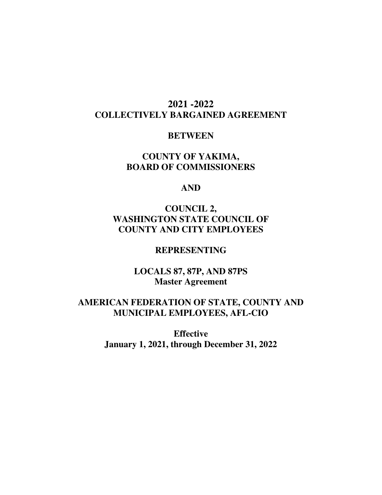# **2021 -2022 COLLECTIVELY BARGAINED AGREEMENT**

## **BETWEEN**

# **COUNTY OF YAKIMA, BOARD OF COMMISSIONERS**

## **AND**

# **COUNCIL 2, WASHINGTON STATE COUNCIL OF COUNTY AND CITY EMPLOYEES**

## **REPRESENTING**

**LOCALS 87, 87P, AND 87PS Master Agreement** 

# **AMERICAN FEDERATION OF STATE, COUNTY AND MUNICIPAL EMPLOYEES, AFL-CIO**

**Effective January 1, 2021, through December 31, 2022**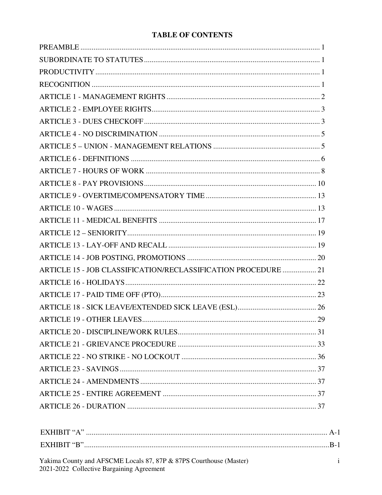## **TABLE OF CONTENTS**

| ARTICLE 15 - JOB CLASSIFICATION/RECLASSIFICATION PROCEDURE  21 |  |
|----------------------------------------------------------------|--|
|                                                                |  |
|                                                                |  |
|                                                                |  |
|                                                                |  |
|                                                                |  |
|                                                                |  |
|                                                                |  |
|                                                                |  |
|                                                                |  |
|                                                                |  |
|                                                                |  |
|                                                                |  |

| FXHIRIT "A"        |  |
|--------------------|--|
| <b>EXHIRIT</b> "R" |  |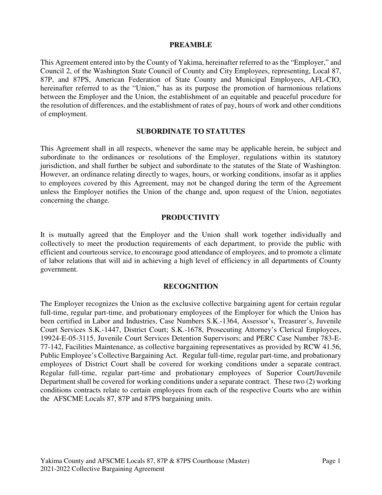#### **PREAMBLE**

This Agreement entered into by the County of Yakima, hereinafter referred to as the "Employer," and Council 2, of the Washington State Council of County and City Employees, representing, Local 87, 87P, and 87PS, American Federation of State County and Municipal Employees, AFL-CIO, hereinafter referred to as the "Union," has as its purpose the promotion of harmonious relations between the Employer and the Union, the establishment of an equitable and peaceful procedure for the resolution of differences, and the establishment of rates of pay, hours of work and other conditions of employment.

#### **SUBORDINATE TO STATUTES**

This Agreement shall in all respects, whenever the same may be applicable herein, be subject and subordinate to the ordinances or resolutions of the Employer, regulations within its statutory jurisdiction, and shall further be subject and subordinate to the statutes of the State of Washington. However, an ordinance relating directly to wages, hours, or working conditions, insofar as it applies to employees covered by this Agreement, may not be changed during the term of the Agreement unless the Employer notifies the Union of the change and, upon request of the Union, negotiates concerning the change.

#### **PRODUCTIVITY**

It is mutually agreed that the Employer and the Union shall work together individually and collectively to meet the production requirements of each department, to provide the public with efficient and courteous service, to encourage good attendance of employees, and to promote a climate of labor relations that will aid in achieving a high level of efficiency in all departments of County government.

#### **RECOGNITION**

The Employer recognizes the Union as the exclusive collective bargaining agent for certain regular full-time, regular part-time, and probationary employees of the Employer for which the Union has been certified in Labor and Industries, Case Numbers S.K.-1364, Assessor's, Treasurer's, Juvenile Court Services S.K.-1447, District Court; S.K.-1678, Prosecuting Attorney's Clerical Employees, 19924-E-05-3115, Juvenile Court Services Detention Supervisors; and PERC Case Number 783-E-77-142, Facilities Maintenance, as collective bargaining representatives as provided by RCW 41.56, Public Employee's Collective Bargaining Act. Regular full-time, regular part-time, and probationary employees of District Court shall be covered for working conditions under a separate contract. Regular full-time, regular part-time and probationary employees of Superior Court/Juvenile Department shall be covered for working conditions under a separate contract. These two (2) working conditions contracts relate to certain employees from each of the respective Courts who are within the AFSCME Locals 87, 87P and 87PS bargaining units.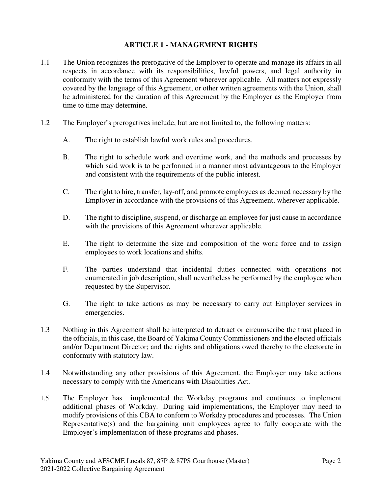## **ARTICLE 1 - MANAGEMENT RIGHTS**

- 1.1 The Union recognizes the prerogative of the Employer to operate and manage its affairs in all respects in accordance with its responsibilities, lawful powers, and legal authority in conformity with the terms of this Agreement wherever applicable. All matters not expressly covered by the language of this Agreement, or other written agreements with the Union, shall be administered for the duration of this Agreement by the Employer as the Employer from time to time may determine.
- 1.2 The Employer's prerogatives include, but are not limited to, the following matters:
	- A. The right to establish lawful work rules and procedures.
	- B. The right to schedule work and overtime work, and the methods and processes by which said work is to be performed in a manner most advantageous to the Employer and consistent with the requirements of the public interest.
	- C. The right to hire, transfer, lay-off, and promote employees as deemed necessary by the Employer in accordance with the provisions of this Agreement, wherever applicable.
	- D. The right to discipline, suspend, or discharge an employee for just cause in accordance with the provisions of this Agreement wherever applicable.
	- E. The right to determine the size and composition of the work force and to assign employees to work locations and shifts.
	- F. The parties understand that incidental duties connected with operations not enumerated in job description, shall nevertheless be performed by the employee when requested by the Supervisor.
	- G. The right to take actions as may be necessary to carry out Employer services in emergencies.
- 1.3 Nothing in this Agreement shall be interpreted to detract or circumscribe the trust placed in the officials, in this case, the Board of Yakima County Commissioners and the elected officials and/or Department Director; and the rights and obligations owed thereby to the electorate in conformity with statutory law.
- 1.4 Notwithstanding any other provisions of this Agreement, the Employer may take actions necessary to comply with the Americans with Disabilities Act.
- 1.5 The Employer has implemented the Workday programs and continues to implement additional phases of Workday. During said implementations, the Employer may need to modify provisions of this CBA to conform to Workday procedures and processes. The Union Representative(s) and the bargaining unit employees agree to fully cooperate with the Employer's implementation of these programs and phases.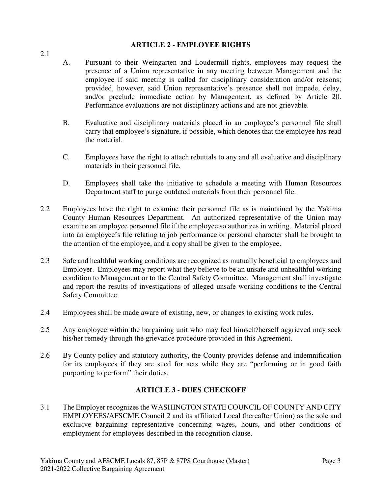## **ARTICLE 2 - EMPLOYEE RIGHTS**

- A. Pursuant to their Weingarten and Loudermill rights, employees may request the presence of a Union representative in any meeting between Management and the employee if said meeting is called for disciplinary consideration and/or reasons; provided, however, said Union representative's presence shall not impede, delay, and/or preclude immediate action by Management, as defined by Article 20. Performance evaluations are not disciplinary actions and are not grievable.
- B. Evaluative and disciplinary materials placed in an employee's personnel file shall carry that employee's signature, if possible, which denotes that the employee has read the material.
- C. Employees have the right to attach rebuttals to any and all evaluative and disciplinary materials in their personnel file.
- D. Employees shall take the initiative to schedule a meeting with Human Resources Department staff to purge outdated materials from their personnel file.
- 2.2 Employees have the right to examine their personnel file as is maintained by the Yakima County Human Resources Department. An authorized representative of the Union may examine an employee personnel file if the employee so authorizes in writing. Material placed into an employee's file relating to job performance or personal character shall be brought to the attention of the employee, and a copy shall be given to the employee.
- 2.3 Safe and healthful working conditions are recognized as mutually beneficial to employees and Employer. Employees may report what they believe to be an unsafe and unhealthful working condition to Management or to the Central Safety Committee. Management shall investigate and report the results of investigations of alleged unsafe working conditions to the Central Safety Committee.
- 2.4 Employees shall be made aware of existing, new, or changes to existing work rules.
- 2.5 Any employee within the bargaining unit who may feel himself/herself aggrieved may seek his/her remedy through the grievance procedure provided in this Agreement.
- 2.6 By County policy and statutory authority, the County provides defense and indemnification for its employees if they are sued for acts while they are "performing or in good faith purporting to perform" their duties.

## **ARTICLE 3 - DUES CHECKOFF**

3.1 The Employer recognizes the WASHINGTON STATE COUNCIL OF COUNTY AND CITY EMPLOYEES/AFSCME Council 2 and its affiliated Local (hereafter Union) as the sole and exclusive bargaining representative concerning wages, hours, and other conditions of employment for employees described in the recognition clause.

2.1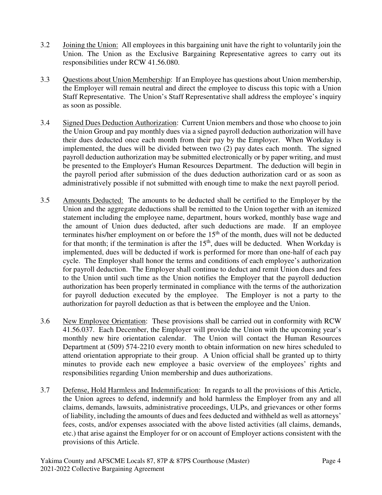- 3.2 Joining the Union: All employees in this bargaining unit have the right to voluntarily join the Union. The Union as the Exclusive Bargaining Representative agrees to carry out its responsibilities under RCW 41.56.080.
- 3.3 Questions about Union Membership: If an Employee has questions about Union membership, the Employer will remain neutral and direct the employee to discuss this topic with a Union Staff Representative. The Union's Staff Representative shall address the employee's inquiry as soon as possible.
- 3.4 Signed Dues Deduction Authorization: Current Union members and those who choose to join the Union Group and pay monthly dues via a signed payroll deduction authorization will have their dues deducted once each month from their pay by the Employer. When Workday is implemented, the dues will be divided between two (2) pay dates each month. The signed payroll deduction authorization may be submitted electronically or by paper writing, and must be presented to the Employer's Human Resources Department. The deduction will begin in the payroll period after submission of the dues deduction authorization card or as soon as administratively possible if not submitted with enough time to make the next payroll period.
- 3.5 Amounts Deducted: The amounts to be deducted shall be certified to the Employer by the Union and the aggregate deductions shall be remitted to the Union together with an itemized statement including the employee name, department, hours worked, monthly base wage and the amount of Union dues deducted, after such deductions are made. If an employee terminates his/her employment on or before the 15<sup>th</sup> of the month, dues will not be deducted for that month; if the termination is after the  $15<sup>th</sup>$ , dues will be deducted. When Workday is implemented, dues will be deducted if work is performed for more than one-half of each pay cycle. The Employer shall honor the terms and conditions of each employee's authorization for payroll deduction. The Employer shall continue to deduct and remit Union dues and fees to the Union until such time as the Union notifies the Employer that the payroll deduction authorization has been properly terminated in compliance with the terms of the authorization for payroll deduction executed by the employee. The Employer is not a party to the authorization for payroll deduction as that is between the employee and the Union.
- 3.6 New Employee Orientation: These provisions shall be carried out in conformity with RCW 41.56.037. Each December, the Employer will provide the Union with the upcoming year's monthly new hire orientation calendar. The Union will contact the Human Resources Department at (509) 574-2210 every month to obtain information on new hires scheduled to attend orientation appropriate to their group. A Union official shall be granted up to thirty minutes to provide each new employee a basic overview of the employees' rights and responsibilities regarding Union membership and dues authorizations.
- 3.7 Defense, Hold Harmless and Indemnification: In regards to all the provisions of this Article, the Union agrees to defend, indemnify and hold harmless the Employer from any and all claims, demands, lawsuits, administrative proceedings, ULPs, and grievances or other forms of liability, including the amounts of dues and fees deducted and withheld as well as attorneys' fees, costs, and/or expenses associated with the above listed activities (all claims, demands, etc.) that arise against the Employer for or on account of Employer actions consistent with the provisions of this Article.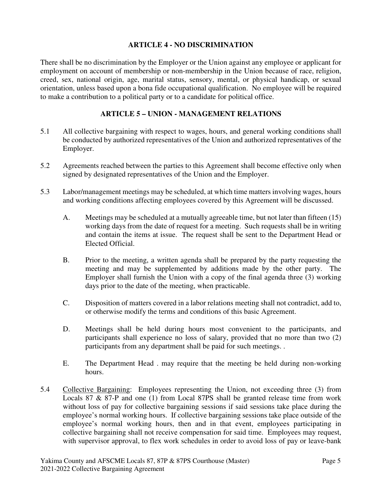## **ARTICLE 4 - NO DISCRIMINATION**

There shall be no discrimination by the Employer or the Union against any employee or applicant for employment on account of membership or non-membership in the Union because of race, religion, creed, sex, national origin, age, marital status, sensory, mental, or physical handicap, or sexual orientation, unless based upon a bona fide occupational qualification. No employee will be required to make a contribution to a political party or to a candidate for political office.

## **ARTICLE 5 – UNION - MANAGEMENT RELATIONS**

- 5.1 All collective bargaining with respect to wages, hours, and general working conditions shall be conducted by authorized representatives of the Union and authorized representatives of the Employer.
- 5.2 Agreements reached between the parties to this Agreement shall become effective only when signed by designated representatives of the Union and the Employer.
- 5.3 Labor/management meetings may be scheduled, at which time matters involving wages, hours and working conditions affecting employees covered by this Agreement will be discussed.
	- A. Meetings may be scheduled at a mutually agreeable time, but not later than fifteen (15) working days from the date of request for a meeting. Such requests shall be in writing and contain the items at issue. The request shall be sent to the Department Head or Elected Official.
	- B. Prior to the meeting, a written agenda shall be prepared by the party requesting the meeting and may be supplemented by additions made by the other party. The Employer shall furnish the Union with a copy of the final agenda three (3) working days prior to the date of the meeting, when practicable.
	- C. Disposition of matters covered in a labor relations meeting shall not contradict, add to, or otherwise modify the terms and conditions of this basic Agreement.
	- D. Meetings shall be held during hours most convenient to the participants, and participants shall experience no loss of salary, provided that no more than two (2) participants from any department shall be paid for such meetings. .
	- E. The Department Head . may require that the meeting be held during non-working hours.
- 5.4 Collective Bargaining: Employees representing the Union, not exceeding three (3) from Locals 87 & 87-P and one (1) from Local 87PS shall be granted release time from work without loss of pay for collective bargaining sessions if said sessions take place during the employee's normal working hours. If collective bargaining sessions take place outside of the employee's normal working hours, then and in that event, employees participating in collective bargaining shall not receive compensation for said time. Employees may request, with supervisor approval, to flex work schedules in order to avoid loss of pay or leave-bank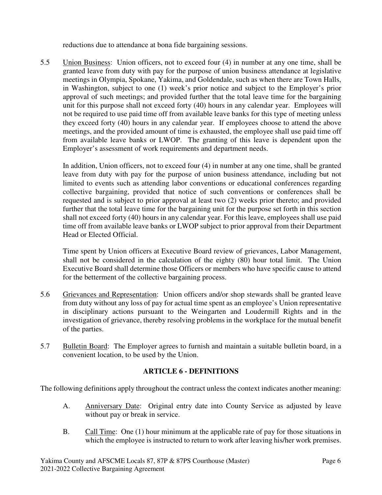reductions due to attendance at bona fide bargaining sessions.

5.5 Union Business:Union officers, not to exceed four (4) in number at any one time, shall be granted leave from duty with pay for the purpose of union business attendance at legislative meetings in Olympia, Spokane, Yakima, and Goldendale, such as when there are Town Halls, in Washington, subject to one (1) week's prior notice and subject to the Employer's prior approval of such meetings; and provided further that the total leave time for the bargaining unit for this purpose shall not exceed forty (40) hours in any calendar year. Employees will not be required to use paid time off from available leave banks for this type of meeting unless they exceed forty (40) hours in any calendar year. If employees choose to attend the above meetings, and the provided amount of time is exhausted, the employee shall use paid time off from available leave banks or LWOP. The granting of this leave is dependent upon the Employer's assessment of work requirements and department needs.

In addition, Union officers, not to exceed four (4) in number at any one time, shall be granted leave from duty with pay for the purpose of union business attendance, including but not limited to events such as attending labor conventions or educational conferences regarding collective bargaining, provided that notice of such conventions or conferences shall be requested and is subject to prior approval at least two (2) weeks prior thereto; and provided further that the total leave time for the bargaining unit for the purpose set forth in this section shall not exceed forty (40) hours in any calendar year. For this leave, employees shall use paid time off from available leave banks or LWOP subject to prior approval from their Department Head or Elected Official.

Time spent by Union officers at Executive Board review of grievances, Labor Management, shall not be considered in the calculation of the eighty (80) hour total limit. The Union Executive Board shall determine those Officers or members who have specific cause to attend for the betterment of the collective bargaining process.

- 5.6 Grievances and Representation:Union officers and/or shop stewards shall be granted leave from duty without any loss of pay for actual time spent as an employee's Union representative in disciplinary actions pursuant to the Weingarten and Loudermill Rights and in the investigation of grievance, thereby resolving problems in the workplace for the mutual benefit of the parties.
- 5.7 Bulletin Board: The Employer agrees to furnish and maintain a suitable bulletin board, in a convenient location, to be used by the Union.

## **ARTICLE 6 - DEFINITIONS**

The following definitions apply throughout the contract unless the context indicates another meaning:

- A. Anniversary Date: Original entry date into County Service as adjusted by leave without pay or break in service.
- B. Call Time: One (1) hour minimum at the applicable rate of pay for those situations in which the employee is instructed to return to work after leaving his/her work premises.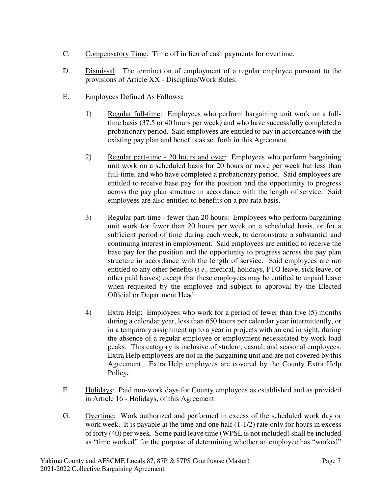- C. Compensatory Time: Time off in lieu of cash payments for overtime.
- D. Dismissal: The termination of employment of a regular employee pursuant to the provisions of Article XX - Discipline/Work Rules.
- E. Employees Defined As Follows**:**
	- 1) Regular full-time: Employees who perform bargaining unit work on a fulltime basis (37.5 or 40 hours per week) and who have successfully completed a probationary period. Said employees are entitled to pay in accordance with the existing pay plan and benefits as set forth in this Agreement.
	- 2) Regular part-time 20 hours and over:Employees who perform bargaining unit work on a scheduled basis for 20 hours or more per week but less than full-time, and who have completed a probationary period. Said employees are entitled to receive base pay for the position and the opportunity to progress across the pay plan structure in accordance with the length of service. Said employees are also entitled to benefits on a pro rata basis.
	- 3) Regular part-time fewer than 20 hours:Employees who perform bargaining unit work for fewer than 20 hours per week on a scheduled basis, or for a sufficient period of time during each week, to demonstrate a substantial and continuing interest in employment. Said employees are entitled to receive the base pay for the position and the opportunity to progress across the pay plan structure in accordance with the length of service. Said employees are not entitled to any other benefits (*i.e.,* medical, holidays, PTO leave, sick leave, or other paid leaves) except that these employees may be entitled to unpaid leave when requested by the employee and subject to approval by the Elected Official or Department Head.
	- 4) Extra Help:Employees who work for a period of fewer than five (5) months during a calendar year, less than 650 hours per calendar year intermittently, or in a temporary assignment up to a year in projects with an end in sight, during the absence of a regular employee or employment necessitated by work load peaks. This category is inclusive of student, casual, and seasonal employees. Extra Help employees are not in the bargaining unit and are not covered by this Agreement. Extra Help employees are covered by the County Extra Help Policy**.**
- F. Holidays: Paid non-work days for County employees as established and as provided in Article 16 - Holidays, of this Agreement.
- G. Overtime: Work authorized and performed in excess of the scheduled work day or work week. It is payable at the time and one half  $(1-1/2)$  rate only for hours in excess of forty (40) per week. Some paid leave time (WPSL is not included) shall be included as "time worked" for the purpose of determining whether an employee has "worked"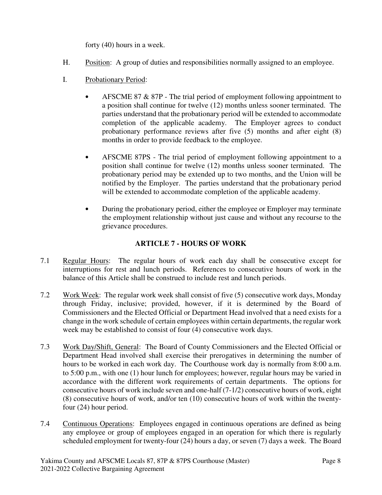forty (40) hours in a week.

- H. Position: A group of duties and responsibilities normally assigned to an employee.
- I. Probationary Period:
	- AFSCME 87 & 87P The trial period of employment following appointment to a position shall continue for twelve (12) months unless sooner terminated. The parties understand that the probationary period will be extended to accommodate completion of the applicable academy. The Employer agrees to conduct probationary performance reviews after five (5) months and after eight (8) months in order to provide feedback to the employee.
	- AFSCME 87PS The trial period of employment following appointment to a position shall continue for twelve (12) months unless sooner terminated. The probationary period may be extended up to two months, and the Union will be notified by the Employer. The parties understand that the probationary period will be extended to accommodate completion of the applicable academy.
	- During the probationary period, either the employee or Employer may terminate the employment relationship without just cause and without any recourse to the grievance procedures.

## **ARTICLE 7 - HOURS OF WORK**

- 7.1 Regular Hours: The regular hours of work each day shall be consecutive except for interruptions for rest and lunch periods. References to consecutive hours of work in the balance of this Article shall be construed to include rest and lunch periods.
- 7.2 Work Week: The regular work week shall consist of five (5) consecutive work days, Monday through Friday, inclusive; provided, however, if it is determined by the Board of Commissioners and the Elected Official or Department Head involved that a need exists for a change in the work schedule of certain employees within certain departments, the regular work week may be established to consist of four (4) consecutive work days.
- 7.3 Work Day/Shift, General: The Board of County Commissioners and the Elected Official or Department Head involved shall exercise their prerogatives in determining the number of hours to be worked in each work day. The Courthouse work day is normally from 8:00 a.m. to 5:00 p.m., with one (1) hour lunch for employees; however, regular hours may be varied in accordance with the different work requirements of certain departments. The options for consecutive hours of work include seven and one-half (7-1/2) consecutive hours of work, eight (8) consecutive hours of work, and/or ten (10) consecutive hours of work within the twentyfour (24) hour period.
- 7.4 Continuous Operations:Employees engaged in continuous operations are defined as being any employee or group of employees engaged in an operation for which there is regularly scheduled employment for twenty-four (24) hours a day, or seven (7) days a week. The Board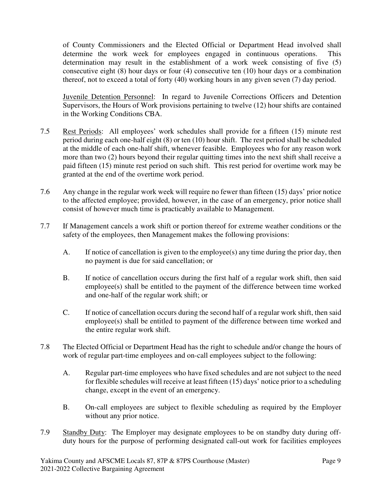of County Commissioners and the Elected Official or Department Head involved shall determine the work week for employees engaged in continuous operations. This determination may result in the establishment of a work week consisting of five (5) consecutive eight (8) hour days or four (4) consecutive ten (10) hour days or a combination thereof, not to exceed a total of forty (40) working hours in any given seven (7) day period.

Juvenile Detention Personnel: In regard to Juvenile Corrections Officers and Detention Supervisors, the Hours of Work provisions pertaining to twelve (12) hour shifts are contained in the Working Conditions CBA.

- 7.5 Rest Periods:All employees' work schedules shall provide for a fifteen (15) minute rest period during each one-half eight (8) or ten (10) hour shift. The rest period shall be scheduled at the middle of each one-half shift, whenever feasible. Employees who for any reason work more than two (2) hours beyond their regular quitting times into the next shift shall receive a paid fifteen (15) minute rest period on such shift. This rest period for overtime work may be granted at the end of the overtime work period.
- 7.6 Any change in the regular work week will require no fewer than fifteen (15) days' prior notice to the affected employee; provided, however, in the case of an emergency, prior notice shall consist of however much time is practicably available to Management.
- 7.7 If Management cancels a work shift or portion thereof for extreme weather conditions or the safety of the employees, then Management makes the following provisions:
	- A. If notice of cancellation is given to the employee(s) any time during the prior day, then no payment is due for said cancellation; or
	- B. If notice of cancellation occurs during the first half of a regular work shift, then said employee(s) shall be entitled to the payment of the difference between time worked and one-half of the regular work shift; or
	- C. If notice of cancellation occurs during the second half of a regular work shift, then said employee(s) shall be entitled to payment of the difference between time worked and the entire regular work shift.
- 7.8 The Elected Official or Department Head has the right to schedule and/or change the hours of work of regular part-time employees and on-call employees subject to the following:
	- A. Regular part-time employees who have fixed schedules and are not subject to the need for flexible schedules will receive at least fifteen (15) days' notice prior to a scheduling change, except in the event of an emergency.
	- B. On-call employees are subject to flexible scheduling as required by the Employer without any prior notice.
- 7.9 Standby Duty:The Employer may designate employees to be on standby duty during offduty hours for the purpose of performing designated call-out work for facilities employees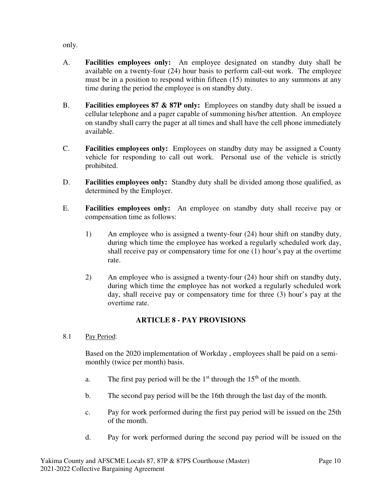only.

- A. **Facilities employees only:** An employee designated on standby duty shall be available on a twenty-four (24) hour basis to perform call-out work. The employee must be in a position to respond within fifteen (15) minutes to any summons at any time during the period the employee is on standby duty.
- B. **Facilities employees 87 & 87P only:** Employees on standby duty shall be issued a cellular telephone and a pager capable of summoning his/her attention. An employee on standby shall carry the pager at all times and shall have the cell phone immediately available.
- C. **Facilities employees only:** Employees on standby duty may be assigned a County vehicle for responding to call out work. Personal use of the vehicle is strictly prohibited.
- D. **Facilities employees only:** Standby duty shall be divided among those qualified, as determined by the Employer.
- E. **Facilities employees only:** An employee on standby duty shall receive pay or compensation time as follows:
	- 1) An employee who is assigned a twenty-four (24) hour shift on standby duty, during which time the employee has worked a regularly scheduled work day, shall receive pay or compensatory time for one (1) hour's pay at the overtime rate.
	- 2) An employee who is assigned a twenty-four (24) hour shift on standby duty, during which time the employee has not worked a regularly scheduled work day, shall receive pay or compensatory time for three (3) hour's pay at the overtime rate.

## **ARTICLE 8 - PAY PROVISIONS**

8.1 Pay Period:

Based on the 2020 implementation of Workday , employees shall be paid on a semimonthly (twice per month) basis.

- a. The first pay period will be the  $1<sup>st</sup>$  through the  $15<sup>th</sup>$  of the month.
- b. The second pay period will be the 16th through the last day of the month.
- c. Pay for work performed during the first pay period will be issued on the 25th of the month.
- d. Pay for work performed during the second pay period will be issued on the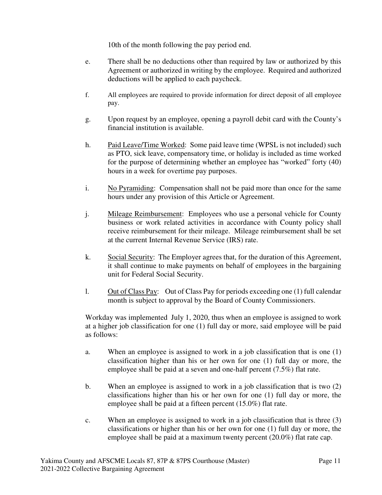10th of the month following the pay period end.

- e. There shall be no deductions other than required by law or authorized by this Agreement or authorized in writing by the employee. Required and authorized deductions will be applied to each paycheck.
- f. All employees are required to provide information for direct deposit of all employee pay.
- g. Upon request by an employee, opening a payroll debit card with the County's financial institution is available.
- h. Paid Leave/Time Worked:Some paid leave time (WPSL is not included) such as PTO, sick leave, compensatory time, or holiday is included as time worked for the purpose of determining whether an employee has "worked" forty (40) hours in a week for overtime pay purposes.
- i. No Pyramiding: Compensation shall not be paid more than once for the same hours under any provision of this Article or Agreement.
- j. Mileage Reimbursement:Employees who use a personal vehicle for County business or work related activities in accordance with County policy shall receive reimbursement for their mileage. Mileage reimbursement shall be set at the current Internal Revenue Service (IRS) rate.
- k. Social Security:The Employer agrees that, for the duration of this Agreement, it shall continue to make payments on behalf of employees in the bargaining unit for Federal Social Security.
- l. Out of Class Pay: Out of Class Pay for periods exceeding one (1) full calendar month is subject to approval by the Board of County Commissioners.

Workday was implemented July 1, 2020, thus when an employee is assigned to work at a higher job classification for one (1) full day or more, said employee will be paid as follows:

- a. When an employee is assigned to work in a job classification that is one (1) classification higher than his or her own for one (1) full day or more, the employee shall be paid at a seven and one-half percent (7.5%) flat rate.
- b. When an employee is assigned to work in a job classification that is two (2) classifications higher than his or her own for one (1) full day or more, the employee shall be paid at a fifteen percent (15.0%) flat rate.
- c. When an employee is assigned to work in a job classification that is three (3) classifications or higher than his or her own for one (1) full day or more, the employee shall be paid at a maximum twenty percent (20.0%) flat rate cap.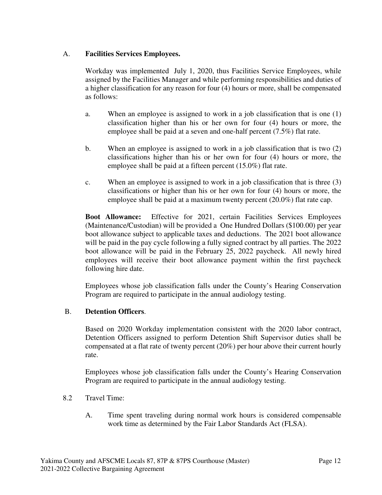## A. **Facilities Services Employees.**

Workday was implemented July 1, 2020, thus Facilities Service Employees, while assigned by the Facilities Manager and while performing responsibilities and duties of a higher classification for any reason for four (4) hours or more, shall be compensated as follows:

- a. When an employee is assigned to work in a job classification that is one (1) classification higher than his or her own for four (4) hours or more, the employee shall be paid at a seven and one-half percent (7.5%) flat rate.
- b. When an employee is assigned to work in a job classification that is two (2) classifications higher than his or her own for four (4) hours or more, the employee shall be paid at a fifteen percent (15.0%) flat rate.
- c. When an employee is assigned to work in a job classification that is three (3) classifications or higher than his or her own for four (4) hours or more, the employee shall be paid at a maximum twenty percent (20.0%) flat rate cap.

**Boot Allowance:** Effective for 2021, certain Facilities Services Employees (Maintenance/Custodian) will be provided a One Hundred Dollars (\$100.00) per year boot allowance subject to applicable taxes and deductions. The 2021 boot allowance will be paid in the pay cycle following a fully signed contract by all parties. The 2022 boot allowance will be paid in the February 25, 2022 paycheck. All newly hired employees will receive their boot allowance payment within the first paycheck following hire date.

Employees whose job classification falls under the County's Hearing Conservation Program are required to participate in the annual audiology testing.

## B. **Detention Officers**.

Based on 2020 Workday implementation consistent with the 2020 labor contract, Detention Officers assigned to perform Detention Shift Supervisor duties shall be compensated at a flat rate of twenty percent  $(20\%)$  per hour above their current hourly rate.

Employees whose job classification falls under the County's Hearing Conservation Program are required to participate in the annual audiology testing.

- 8.2 Travel Time:
	- A. Time spent traveling during normal work hours is considered compensable work time as determined by the Fair Labor Standards Act (FLSA).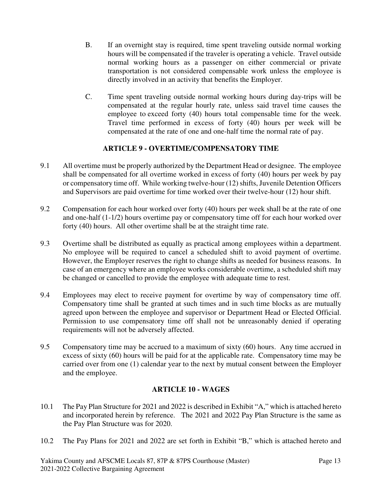- B. If an overnight stay is required, time spent traveling outside normal working hours will be compensated if the traveler is operating a vehicle. Travel outside normal working hours as a passenger on either commercial or private transportation is not considered compensable work unless the employee is directly involved in an activity that benefits the Employer.
- C. Time spent traveling outside normal working hours during day-trips will be compensated at the regular hourly rate, unless said travel time causes the employee to exceed forty (40) hours total compensable time for the week. Travel time performed in excess of forty (40) hours per week will be compensated at the rate of one and one-half time the normal rate of pay.

## **ARTICLE 9 - OVERTIME/COMPENSATORY TIME**

- 9.1 All overtime must be properly authorized by the Department Head or designee. The employee shall be compensated for all overtime worked in excess of forty (40) hours per week by pay or compensatory time off. While working twelve-hour (12) shifts, Juvenile Detention Officers and Supervisors are paid overtime for time worked over their twelve-hour (12) hour shift.
- 9.2 Compensation for each hour worked over forty (40) hours per week shall be at the rate of one and one-half (1-1/2) hours overtime pay or compensatory time off for each hour worked over forty (40) hours. All other overtime shall be at the straight time rate.
- 9.3 Overtime shall be distributed as equally as practical among employees within a department. No employee will be required to cancel a scheduled shift to avoid payment of overtime. However, the Employer reserves the right to change shifts as needed for business reasons. In case of an emergency where an employee works considerable overtime, a scheduled shift may be changed or cancelled to provide the employee with adequate time to rest.
- 9.4 Employees may elect to receive payment for overtime by way of compensatory time off. Compensatory time shall be granted at such times and in such time blocks as are mutually agreed upon between the employee and supervisor or Department Head or Elected Official. Permission to use compensatory time off shall not be unreasonably denied if operating requirements will not be adversely affected.
- 9.5 Compensatory time may be accrued to a maximum of sixty (60) hours. Any time accrued in excess of sixty (60) hours will be paid for at the applicable rate. Compensatory time may be carried over from one (1) calendar year to the next by mutual consent between the Employer and the employee.

## **ARTICLE 10 - WAGES**

- 10.1 The Pay Plan Structure for 2021 and 2022 is described in Exhibit "A," which is attached hereto and incorporated herein by reference. The 2021 and 2022 Pay Plan Structure is the same as the Pay Plan Structure was for 2020.
- 10.2 The Pay Plans for 2021 and 2022 are set forth in Exhibit "B," which is attached hereto and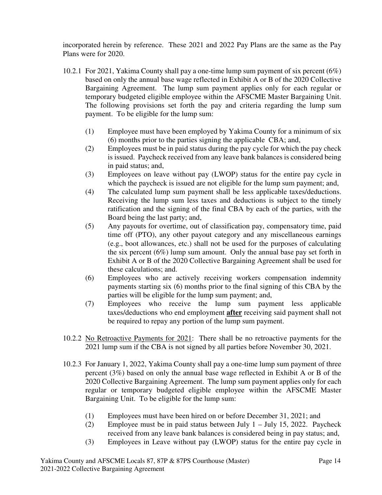incorporated herein by reference. These 2021 and 2022 Pay Plans are the same as the Pay Plans were for 2020.

- 10.2.1 For 2021, Yakima County shall pay a one-time lump sum payment of six percent (6%) based on only the annual base wage reflected in Exhibit A or B of the 2020 Collective Bargaining Agreement. The lump sum payment applies only for each regular or temporary budgeted eligible employee within the AFSCME Master Bargaining Unit. The following provisions set forth the pay and criteria regarding the lump sum payment. To be eligible for the lump sum:
	- (1) Employee must have been employed by Yakima County for a minimum of six (6) months prior to the parties signing the applicable CBA; and,
	- (2) Employees must be in paid status during the pay cycle for which the pay check is issued. Paycheck received from any leave bank balances is considered being in paid status; and,
	- (3) Employees on leave without pay (LWOP) status for the entire pay cycle in which the paycheck is issued are not eligible for the lump sum payment; and,
	- (4) The calculated lump sum payment shall be less applicable taxes/deductions. Receiving the lump sum less taxes and deductions is subject to the timely ratification and the signing of the final CBA by each of the parties, with the Board being the last party; and,
	- (5) Any payouts for overtime, out of classification pay, compensatory time, paid time off (PTO), any other payout category and any miscellaneous earnings (e.g., boot allowances, etc.) shall not be used for the purposes of calculating the six percent (6%) lump sum amount. Only the annual base pay set forth in Exhibit A or B of the 2020 Collective Bargaining Agreement shall be used for these calculations; and.
	- (6) Employees who are actively receiving workers compensation indemnity payments starting six (6) months prior to the final signing of this CBA by the parties will be eligible for the lump sum payment; and,
	- (7) Employees who receive the lump sum payment less applicable taxes/deductions who end employment **after** receiving said payment shall not be required to repay any portion of the lump sum payment.
- 10.2.2 No Retroactive Payments for 2021: There shall be no retroactive payments for the 2021 lump sum if the CBA is not signed by all parties before November 30, 2021.
- 10.2.3 For January 1, 2022, Yakima County shall pay a one-time lump sum payment of three percent (3%) based on only the annual base wage reflected in Exhibit A or B of the 2020 Collective Bargaining Agreement. The lump sum payment applies only for each regular or temporary budgeted eligible employee within the AFSCME Master Bargaining Unit. To be eligible for the lump sum:
	- (1) Employees must have been hired on or before December 31, 2021; and
	- (2) Employee must be in paid status between July  $1 -$  July 15, 2022. Paycheck received from any leave bank balances is considered being in pay status; and,
	- (3) Employees in Leave without pay (LWOP) status for the entire pay cycle in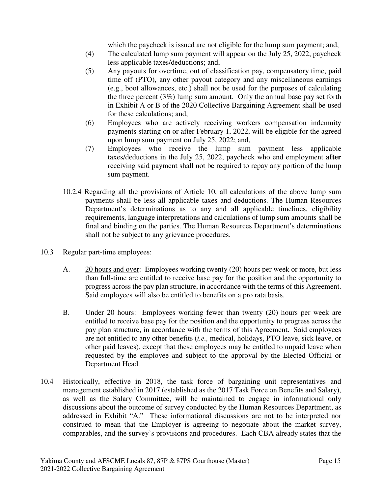which the paycheck is issued are not eligible for the lump sum payment; and,

- (4) The calculated lump sum payment will appear on the July 25, 2022, paycheck less applicable taxes/deductions; and,
- (5) Any payouts for overtime, out of classification pay, compensatory time, paid time off (PTO), any other payout category and any miscellaneous earnings (e.g., boot allowances, etc.) shall not be used for the purposes of calculating the three percent  $(3\%)$  lump sum amount. Only the annual base pay set forth in Exhibit A or B of the 2020 Collective Bargaining Agreement shall be used for these calculations; and,
- (6) Employees who are actively receiving workers compensation indemnity payments starting on or after February 1, 2022, will be eligible for the agreed upon lump sum payment on July 25, 2022; and,
- (7) Employees who receive the lump sum payment less applicable taxes/deductions in the July 25, 2022, paycheck who end employment **after**  receiving said payment shall not be required to repay any portion of the lump sum payment.
- 10.2.4 Regarding all the provisions of Article 10, all calculations of the above lump sum payments shall be less all applicable taxes and deductions. The Human Resources Department's determinations as to any and all applicable timelines, eligibility requirements, language interpretations and calculations of lump sum amounts shall be final and binding on the parties. The Human Resources Department's determinations shall not be subject to any grievance procedures.
- 10.3 Regular part-time employees:
	- A. 20 hours and over:Employees working twenty (20) hours per week or more, but less than full-time are entitled to receive base pay for the position and the opportunity to progress across the pay plan structure, in accordance with the terms of this Agreement. Said employees will also be entitled to benefits on a pro rata basis.
	- B. Under 20 hours: Employees working fewer than twenty (20) hours per week are entitled to receive base pay for the position and the opportunity to progress across the pay plan structure, in accordance with the terms of this Agreement. Said employees are not entitled to any other benefits (*i.e.,* medical, holidays, PTO leave, sick leave, or other paid leaves), except that these employees may be entitled to unpaid leave when requested by the employee and subject to the approval by the Elected Official or Department Head.
- 10.4 Historically, effective in 2018, the task force of bargaining unit representatives and management established in 2017 (established as the 2017 Task Force on Benefits and Salary), as well as the Salary Committee, will be maintained to engage in informational only discussions about the outcome of survey conducted by the Human Resources Department, as addressed in Exhibit "A." These informational discussions are not to be interpreted nor construed to mean that the Employer is agreeing to negotiate about the market survey, comparables, and the survey's provisions and procedures. Each CBA already states that the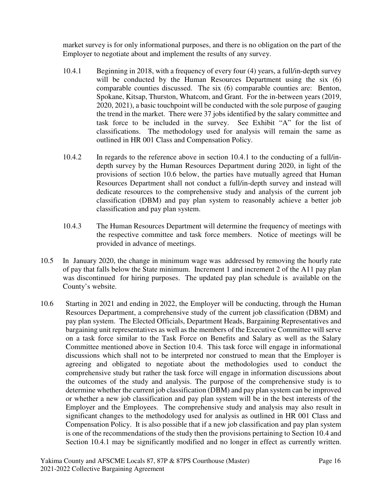market survey is for only informational purposes, and there is no obligation on the part of the Employer to negotiate about and implement the results of any survey.

- 10.4.1 Beginning in 2018, with a frequency of every four (4) years, a full/in-depth survey will be conducted by the Human Resources Department using the six (6) comparable counties discussed. The six (6) comparable counties are: Benton, Spokane, Kitsap, Thurston, Whatcom, and Grant. For the in-between years (2019, 2020, 2021), a basic touchpoint will be conducted with the sole purpose of gauging the trend in the market. There were 37 jobs identified by the salary committee and task force to be included in the survey. See Exhibit "A" for the list of classifications. The methodology used for analysis will remain the same as outlined in HR 001 Class and Compensation Policy.
- 10.4.2 In regards to the reference above in section 10.4.1 to the conducting of a full/indepth survey by the Human Resources Department during 2020, in light of the provisions of section 10.6 below, the parties have mutually agreed that Human Resources Department shall not conduct a full/in-depth survey and instead will dedicate resources to the comprehensive study and analysis of the current job classification (DBM) and pay plan system to reasonably achieve a better job classification and pay plan system.
- 10.4.3 The Human Resources Department will determine the frequency of meetings with the respective committee and task force members. Notice of meetings will be provided in advance of meetings.
- 10.5 In January 2020, the change in minimum wage was addressed by removing the hourly rate of pay that falls below the State minimum. Increment 1 and increment 2 of the A11 pay plan was discontinued for hiring purposes. The updated pay plan schedule is available on the County's website.
- 10.6 Starting in 2021 and ending in 2022, the Employer will be conducting, through the Human Resources Department, a comprehensive study of the current job classification (DBM) and pay plan system. The Elected Officials, Department Heads, Bargaining Representatives and bargaining unit representatives as well as the members of the Executive Committee will serve on a task force similar to the Task Force on Benefits and Salary as well as the Salary Committee mentioned above in Section 10.4. This task force will engage in informational discussions which shall not to be interpreted nor construed to mean that the Employer is agreeing and obligated to negotiate about the methodologies used to conduct the comprehensive study but rather the task force will engage in information discussions about the outcomes of the study and analysis. The purpose of the comprehensive study is to determine whether the current job classification (DBM) and pay plan system can be improved or whether a new job classification and pay plan system will be in the best interests of the Employer and the Employees. The comprehensive study and analysis may also result in significant changes to the methodology used for analysis as outlined in HR 001 Class and Compensation Policy. It is also possible that if a new job classification and pay plan system is one of the recommendations of the study then the provisions pertaining to Section 10.4 and Section 10.4.1 may be significantly modified and no longer in effect as currently written.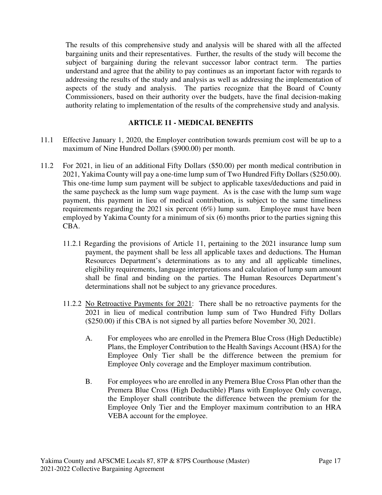The results of this comprehensive study and analysis will be shared with all the affected bargaining units and their representatives. Further, the results of the study will become the subject of bargaining during the relevant successor labor contract term. The parties understand and agree that the ability to pay continues as an important factor with regards to addressing the results of the study and analysis as well as addressing the implementation of aspects of the study and analysis. The parties recognize that the Board of County Commissioners, based on their authority over the budgets, have the final decision-making authority relating to implementation of the results of the comprehensive study and analysis.

### **ARTICLE 11 - MEDICAL BENEFITS**

- 11.1 Effective January 1, 2020, the Employer contribution towards premium cost will be up to a maximum of Nine Hundred Dollars (\$900.00) per month.
- 11.2 For 2021, in lieu of an additional Fifty Dollars (\$50.00) per month medical contribution in 2021, Yakima County will pay a one-time lump sum of Two Hundred Fifty Dollars (\$250.00). This one-time lump sum payment will be subject to applicable taxes/deductions and paid in the same paycheck as the lump sum wage payment. As is the case with the lump sum wage payment, this payment in lieu of medical contribution, is subject to the same timeliness requirements regarding the 2021 six percent (6%) lump sum. Employee must have been employed by Yakima County for a minimum of six (6) months prior to the parties signing this CBA.
	- 11.2.1 Regarding the provisions of Article 11, pertaining to the 2021 insurance lump sum payment, the payment shall be less all applicable taxes and deductions. The Human Resources Department's determinations as to any and all applicable timelines, eligibility requirements, language interpretations and calculation of lump sum amount shall be final and binding on the parties. The Human Resources Department's determinations shall not be subject to any grievance procedures.
	- 11.2.2 No Retroactive Payments for 2021: There shall be no retroactive payments for the 2021 in lieu of medical contribution lump sum of Two Hundred Fifty Dollars (\$250.00) if this CBA is not signed by all parties before November 30, 2021.
		- A. For employees who are enrolled in the Premera Blue Cross (High Deductible) Plans, the Employer Contribution to the Health Savings Account (HSA) for the Employee Only Tier shall be the difference between the premium for Employee Only coverage and the Employer maximum contribution.
		- B. For employees who are enrolled in any Premera Blue Cross Plan other than the Premera Blue Cross (High Deductible) Plans with Employee Only coverage, the Employer shall contribute the difference between the premium for the Employee Only Tier and the Employer maximum contribution to an HRA VEBA account for the employee.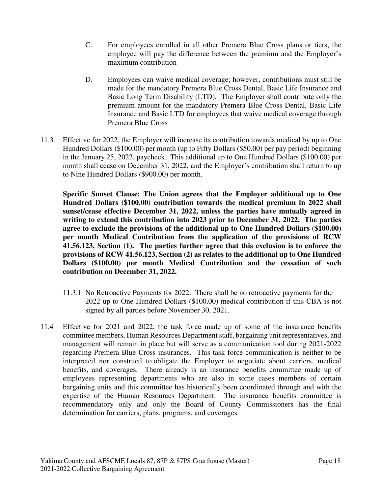- C. For employees enrolled in all other Premera Blue Cross plans or tiers, the employee will pay the difference between the premium and the Employer's maximum contribution
- D. Employees can waive medical coverage; however, contributions must still be made for the mandatory Premera Blue Cross Dental, Basic Life Insurance and Basic Long Term Disability (LTD). The Employer shall contribute only the premium amount for the mandatory Premera Blue Cross Dental, Basic Life Insurance and Basic LTD for employees that waive medical coverage through Premera Blue Cross
- 11.3 Effective for 2022, the Employer will increase its contribution towards medical by up to One Hundred Dollars (\$100.00) per month (up to Fifty Dollars (\$50.00) per pay period) beginning in the January 25, 2022, paycheck. This additional up to One Hundred Dollars (\$100.00) per month shall cease on December 31, 2022, and the Employer's contribution shall return to up to Nine Hundred Dollars (\$900.00) per month.

**Specific Sunset Clause: The Union agrees that the Employer additional up to One Hundred Dollars (\$100.00) contribution towards the medical premium in 2022 shall sunset/cease effective December 31, 2022, unless the parties have mutually agreed in writing to extend this contribution into 2023 prior to December 31, 2022. The parties agree to exclude the provisions of the additional up to One Hundred Dollars (\$100.00) per month Medical Contribution from the application of the provisions of RCW 41.56.123, Section (1). The parties further agree that this exclusion is to enforce the provisions of RCW 41.56.123, Section (2) as relates to the additional up to One Hundred Dollars (\$100.00) per month Medical Contribution and the cessation of such contribution on December 31, 2022.** 

- 11.3.1 No Retroactive Payments for 2022: There shall be no retroactive payments for the 2022 up to One Hundred Dollars (\$100.00) medical contribution if this CBA is not signed by all parties before November 30, 2021.
- 11.4 Effective for 2021 and 2022, the task force made up of some of the insurance benefits committee members, Human Resources Department staff, bargaining unit representatives, and management will remain in place but will serve as a communication tool during 2021-2022 regarding Premera Blue Cross insurances. This task force communication is neither to be interpreted nor construed to obligate the Employer to negotiate about carriers, medical benefits, and coverages. There already is an insurance benefits committee made up of employees representing departments who are also in some cases members of certain bargaining units and this committee has historically been coordinated through and with the expertise of the Human Resources Department. The insurance benefits committee is recommendatory only and only the Board of County Commissioners has the final determination for carriers, plans, programs, and coverages.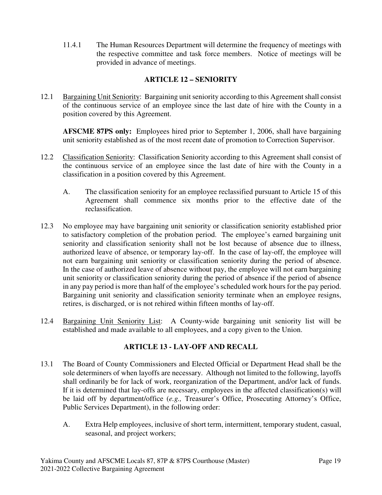11.4.1 The Human Resources Department will determine the frequency of meetings with the respective committee and task force members. Notice of meetings will be provided in advance of meetings.

## **ARTICLE 12 – SENIORITY**

12.1 Bargaining Unit Seniority: Bargaining unit seniority according to this Agreement shall consist of the continuous service of an employee since the last date of hire with the County in a position covered by this Agreement.

**AFSCME 87PS only:** Employees hired prior to September 1, 2006, shall have bargaining unit seniority established as of the most recent date of promotion to Correction Supervisor.

- 12.2 Classification Seniority: Classification Seniority according to this Agreement shall consist of the continuous service of an employee since the last date of hire with the County in a classification in a position covered by this Agreement.
	- A. The classification seniority for an employee reclassified pursuant to Article 15 of this Agreement shall commence six months prior to the effective date of the reclassification.
- 12.3 No employee may have bargaining unit seniority or classification seniority established prior to satisfactory completion of the probation period. The employee's earned bargaining unit seniority and classification seniority shall not be lost because of absence due to illness, authorized leave of absence, or temporary lay-off. In the case of lay-off, the employee will not earn bargaining unit seniority or classification seniority during the period of absence. In the case of authorized leave of absence without pay, the employee will not earn bargaining unit seniority or classification seniority during the period of absence if the period of absence in any pay period is more than half of the employee's scheduled work hours for the pay period. Bargaining unit seniority and classification seniority terminate when an employee resigns, retires, is discharged, or is not rehired within fifteen months of lay-off.
- 12.4 Bargaining Unit Seniority List: A County-wide bargaining unit seniority list will be established and made available to all employees, and a copy given to the Union.

## **ARTICLE 13 - LAY-OFF AND RECALL**

- 13.1 The Board of County Commissioners and Elected Official or Department Head shall be the sole determiners of when layoffs are necessary. Although not limited to the following, layoffs shall ordinarily be for lack of work, reorganization of the Department, and/or lack of funds. If it is determined that lay-offs are necessary, employees in the affected classification(s) will be laid off by department/office (*e.g.,* Treasurer's Office, Prosecuting Attorney's Office, Public Services Department), in the following order:
	- A. Extra Help employees, inclusive of short term, intermittent, temporary student, casual, seasonal, and project workers;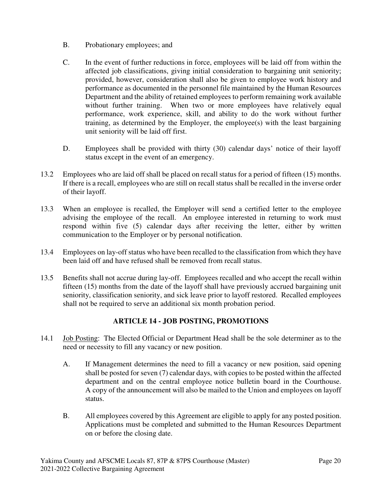- B. Probationary employees; and
- C. In the event of further reductions in force, employees will be laid off from within the affected job classifications, giving initial consideration to bargaining unit seniority; provided, however, consideration shall also be given to employee work history and performance as documented in the personnel file maintained by the Human Resources Department and the ability of retained employees to perform remaining work available without further training. When two or more employees have relatively equal performance, work experience, skill, and ability to do the work without further training, as determined by the Employer, the employee(s) with the least bargaining unit seniority will be laid off first.
- D. Employees shall be provided with thirty (30) calendar days' notice of their layoff status except in the event of an emergency.
- 13.2 Employees who are laid off shall be placed on recall status for a period of fifteen (15) months. If there is a recall, employees who are still on recall status shall be recalled in the inverse order of their layoff.
- 13.3 When an employee is recalled, the Employer will send a certified letter to the employee advising the employee of the recall. An employee interested in returning to work must respond within five (5) calendar days after receiving the letter, either by written communication to the Employer or by personal notification.
- 13.4 Employees on lay-off status who have been recalled to the classification from which they have been laid off and have refused shall be removed from recall status.
- 13.5 Benefits shall not accrue during lay-off. Employees recalled and who accept the recall within fifteen (15) months from the date of the layoff shall have previously accrued bargaining unit seniority, classification seniority, and sick leave prior to layoff restored. Recalled employees shall not be required to serve an additional six month probation period.

## **ARTICLE 14 - JOB POSTING, PROMOTIONS**

- 14.1 Job Posting:The Elected Official or Department Head shall be the sole determiner as to the need or necessity to fill any vacancy or new position.
	- A. If Management determines the need to fill a vacancy or new position, said opening shall be posted for seven (7) calendar days, with copies to be posted within the affected department and on the central employee notice bulletin board in the Courthouse. A copy of the announcement will also be mailed to the Union and employees on layoff status.
	- B. All employees covered by this Agreement are eligible to apply for any posted position. Applications must be completed and submitted to the Human Resources Department on or before the closing date.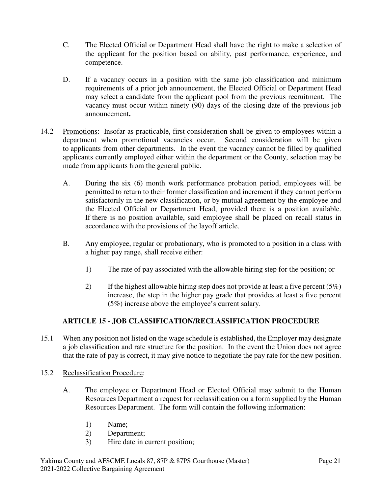- C. The Elected Official or Department Head shall have the right to make a selection of the applicant for the position based on ability, past performance, experience, and competence.
- D. If a vacancy occurs in a position with the same job classification and minimum requirements of a prior job announcement, the Elected Official or Department Head may select a candidate from the applicant pool from the previous recruitment. The vacancy must occur within ninety (90) days of the closing date of the previous job announcement**.**
- 14.2 Promotions:Insofar as practicable, first consideration shall be given to employees within a department when promotional vacancies occur. Second consideration will be given to applicants from other departments. In the event the vacancy cannot be filled by qualified applicants currently employed either within the department or the County, selection may be made from applicants from the general public.
	- A. During the six (6) month work performance probation period, employees will be permitted to return to their former classification and increment if they cannot perform satisfactorily in the new classification, or by mutual agreement by the employee and the Elected Official or Department Head, provided there is a position available. If there is no position available, said employee shall be placed on recall status in accordance with the provisions of the layoff article.
	- B. Any employee, regular or probationary, who is promoted to a position in a class with a higher pay range, shall receive either:
		- 1) The rate of pay associated with the allowable hiring step for the position; or
		- 2) If the highest allowable hiring step does not provide at least a five percent ( $5\%$ ) increase, the step in the higher pay grade that provides at least a five percent (5%) increase above the employee's current salary.

## **ARTICLE 15 - JOB CLASSIFICATION/RECLASSIFICATION PROCEDURE**

- 15.1 When any position not listed on the wage schedule is established, the Employer may designate a job classification and rate structure for the position. In the event the Union does not agree that the rate of pay is correct, it may give notice to negotiate the pay rate for the new position.
- 15.2 Reclassification Procedure:
	- A. The employee or Department Head or Elected Official may submit to the Human Resources Department a request for reclassification on a form supplied by the Human Resources Department. The form will contain the following information:
		- 1) Name;
		- 2) Department;
		- 3) Hire date in current position;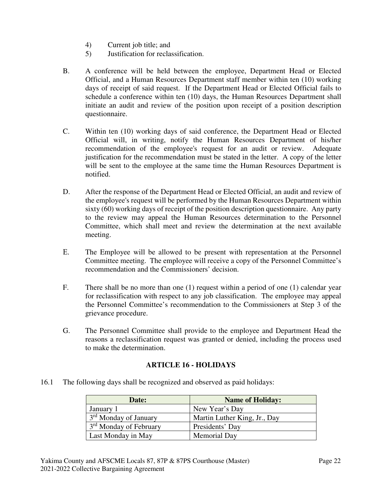- 4) Current job title; and
- 5) Justification for reclassification.
- B. A conference will be held between the employee, Department Head or Elected Official, and a Human Resources Department staff member within ten (10) working days of receipt of said request. If the Department Head or Elected Official fails to schedule a conference within ten (10) days, the Human Resources Department shall initiate an audit and review of the position upon receipt of a position description questionnaire.
- C. Within ten (10) working days of said conference, the Department Head or Elected Official will, in writing, notify the Human Resources Department of his/her recommendation of the employee's request for an audit or review. Adequate justification for the recommendation must be stated in the letter. A copy of the letter will be sent to the employee at the same time the Human Resources Department is notified.
- D. After the response of the Department Head or Elected Official, an audit and review of the employee's request will be performed by the Human Resources Department within sixty (60) working days of receipt of the position description questionnaire. Any party to the review may appeal the Human Resources determination to the Personnel Committee, which shall meet and review the determination at the next available meeting.
- E. The Employee will be allowed to be present with representation at the Personnel Committee meeting. The employee will receive a copy of the Personnel Committee's recommendation and the Commissioners' decision.
- F. There shall be no more than one (1) request within a period of one (1) calendar year for reclassification with respect to any job classification. The employee may appeal the Personnel Committee's recommendation to the Commissioners at Step 3 of the grievance procedure.
- G. The Personnel Committee shall provide to the employee and Department Head the reasons a reclassification request was granted or denied, including the process used to make the determination.

## **ARTICLE 16 - HOLIDAYS**

16.1 The following days shall be recognized and observed as paid holidays:

| Date:                              | <b>Name of Holiday:</b>      |
|------------------------------------|------------------------------|
| January 1                          | New Year's Day               |
| 3 <sup>rd</sup> Monday of January  | Martin Luther King, Jr., Day |
| 3 <sup>rd</sup> Monday of February | Presidents' Day              |
| Last Monday in May                 | Memorial Day                 |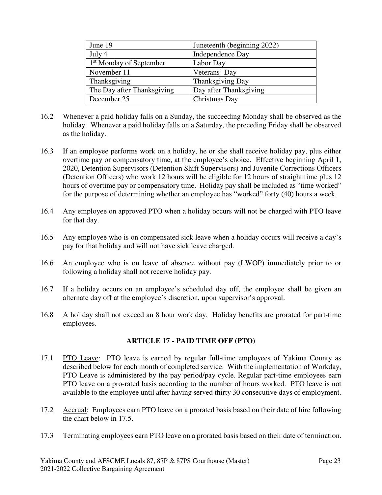| June 19                             | Juneteenth (beginning 2022) |
|-------------------------------------|-----------------------------|
| July 4                              | Independence Day            |
| 1 <sup>st</sup> Monday of September | Labor Day                   |
| November 11                         | Veterans' Day               |
| Thanksgiving                        | Thanksgiving Day            |
| The Day after Thanksgiving          | Day after Thanksgiving      |
| December 25                         | Christmas Day               |

- 16.2 Whenever a paid holiday falls on a Sunday, the succeeding Monday shall be observed as the holiday. Whenever a paid holiday falls on a Saturday, the preceding Friday shall be observed as the holiday.
- 16.3 If an employee performs work on a holiday, he or she shall receive holiday pay, plus either overtime pay or compensatory time, at the employee's choice. Effective beginning April 1, 2020, Detention Supervisors (Detention Shift Supervisors) and Juvenile Corrections Officers (Detention Officers) who work 12 hours will be eligible for 12 hours of straight time plus 12 hours of overtime pay or compensatory time. Holiday pay shall be included as "time worked" for the purpose of determining whether an employee has "worked" forty (40) hours a week.
- 16.4 Any employee on approved PTO when a holiday occurs will not be charged with PTO leave for that day.
- 16.5 Any employee who is on compensated sick leave when a holiday occurs will receive a day's pay for that holiday and will not have sick leave charged.
- 16.6 An employee who is on leave of absence without pay (LWOP) immediately prior to or following a holiday shall not receive holiday pay.
- 16.7 If a holiday occurs on an employee's scheduled day off, the employee shall be given an alternate day off at the employee's discretion, upon supervisor's approval.
- 16.8 A holiday shall not exceed an 8 hour work day. Holiday benefits are prorated for part-time employees.

## **ARTICLE 17 - PAID TIME OFF (PTO)**

- 17.1 PTO Leave:PTO leave is earned by regular full-time employees of Yakima County as described below for each month of completed service. With the implementation of Workday, PTO Leave is administered by the pay period/pay cycle. Regular part-time employees earn PTO leave on a pro-rated basis according to the number of hours worked. PTO leave is not available to the employee until after having served thirty 30 consecutive days of employment.
- 17.2 Accrual:Employees earn PTO leave on a prorated basis based on their date of hire following the chart below in 17.5.
- 17.3 Terminating employees earn PTO leave on a prorated basis based on their date of termination.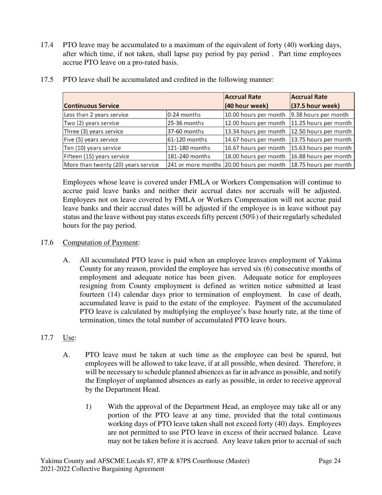17.4 PTO leave may be accumulated to a maximum of the equivalent of forty (40) working days, after which time, if not taken, shall lapse pay period by pay period . Part time employees accrue PTO leave on a pro-rated basis.

|                                     |                | <b>Accrual Rate</b>                      | <b>Accrual Rate</b>   |
|-------------------------------------|----------------|------------------------------------------|-----------------------|
| <b>Continuous Service</b>           |                | (40 hour week)                           | (37.5 hour week)      |
| Less than 2 years service           | 0-24 months    | 10.00 hours per month                    | 9.38 hours per month  |
| Two (2) years service               | 25-36 months   | 12.00 hours per month                    | 11.25 hours per month |
| Three (3) years service             | 37-60 months   | 13.34 hours per month                    | 12.50 hours per month |
| Five (5) years service              | 61-120 months  | 14.67 hours per month                    | 13.75 hours per month |
| Ten (10) years service              | 121-180 months | 16.67 hours per month                    | 15.63 hours per month |
| Fifteen (15) years service          | 181-240 months | 18.00 hours per month                    | 16.88 hours per month |
| More than twenty (20) years service |                | 241 or more months 20.00 hours per month | 18.75 hours per month |

17.5 PTO leave shall be accumulated and credited in the following manner:

Employees whose leave is covered under FMLA or Workers Compensation will continue to accrue paid leave banks and neither their accrual dates nor accruals will be adjusted. Employees not on leave covered by FMLA or Workers Compensation will not accrue paid leave banks and their accrual dates will be adjusted if the employee is in leave without pay status and the leave without pay status exceeds fifty percent (50%) of their regularly scheduled hours for the pay period.

## 17.6 Computation of Payment:

A. All accumulated PTO leave is paid when an employee leaves employment of Yakima County for any reason, provided the employee has served six (6) consecutive months of employment and adequate notice has been given. Adequate notice for employees resigning from County employment is defined as written notice submitted at least fourteen (14) calendar days prior to termination of employment. In case of death, accumulated leave is paid to the estate of the employee. Payment of the accumulated PTO leave is calculated by multiplying the employee's base hourly rate, at the time of termination, times the total number of accumulated PTO leave hours.

## 17.7 Use:

- A. PTO leave must be taken at such time as the employee can best be spared, but employees will be allowed to take leave, if at all possible, when desired. Therefore, it will be necessary to schedule planned absences as far in advance as possible, and notify the Employer of unplanned absences as early as possible, in order to receive approval by the Department Head.
	- 1) With the approval of the Department Head, an employee may take all or any portion of the PTO leave at any time, provided that the total continuous working days of PTO leave taken shall not exceed forty (40) days. Employees are not permitted to use PTO leave in excess of their accrued balance. Leave may not be taken before it is accrued. Any leave taken prior to accrual of such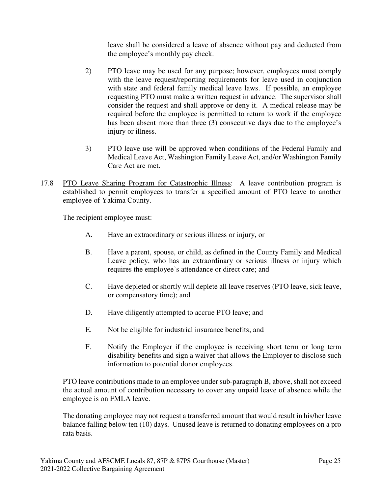leave shall be considered a leave of absence without pay and deducted from the employee's monthly pay check.

- 2) PTO leave may be used for any purpose; however, employees must comply with the leave request/reporting requirements for leave used in conjunction with state and federal family medical leave laws. If possible, an employee requesting PTO must make a written request in advance. The supervisor shall consider the request and shall approve or deny it. A medical release may be required before the employee is permitted to return to work if the employee has been absent more than three (3) consecutive days due to the employee's injury or illness.
- 3) PTO leave use will be approved when conditions of the Federal Family and Medical Leave Act, Washington Family Leave Act, and/or Washington Family Care Act are met.
- 17.8 PTO Leave Sharing Program for Catastrophic Illness: A leave contribution program is established to permit employees to transfer a specified amount of PTO leave to another employee of Yakima County.

The recipient employee must:

- A. Have an extraordinary or serious illness or injury, or
- B. Have a parent, spouse, or child, as defined in the County Family and Medical Leave policy, who has an extraordinary or serious illness or injury which requires the employee's attendance or direct care; and
- C. Have depleted or shortly will deplete all leave reserves (PTO leave, sick leave, or compensatory time); and
- D. Have diligently attempted to accrue PTO leave; and
- E. Not be eligible for industrial insurance benefits; and
- F. Notify the Employer if the employee is receiving short term or long term disability benefits and sign a waiver that allows the Employer to disclose such information to potential donor employees.

PTO leave contributions made to an employee under sub-paragraph B, above, shall not exceed the actual amount of contribution necessary to cover any unpaid leave of absence while the employee is on FMLA leave.

The donating employee may not request a transferred amount that would result in his/her leave balance falling below ten (10) days. Unused leave is returned to donating employees on a pro rata basis.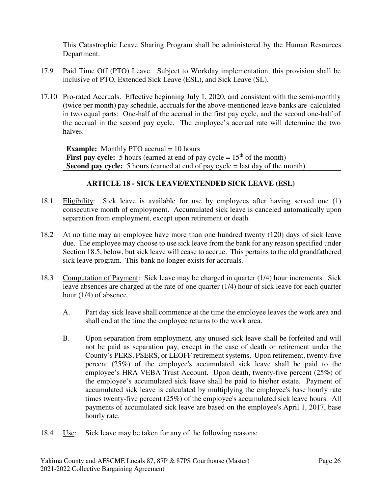This Catastrophic Leave Sharing Program shall be administered by the Human Resources Department.

- 17.9 Paid Time Off (PTO) Leave. Subject to Workday implementation, this provision shall be inclusive of PTO, Extended Sick Leave (ESL), and Sick Leave (SL).
- 17.10 Pro-rated Accruals. Effective beginning July 1, 2020, and consistent with the semi-monthly (twice per month) pay schedule, accruals for the above-mentioned leave banks are calculated in two equal parts: One-half of the accrual in the first pay cycle, and the second one-half of the accrual in the second pay cycle. The employee's accrual rate will determine the two halves.

**Example:** Monthly PTO accrual = 10 hours **First pay cycle:** 5 hours (earned at end of pay cycle  $= 15<sup>th</sup>$  of the month) **Second pay cycle:** 5 hours (earned at end of pay cycle = last day of the month)

## **ARTICLE 18 - SICK LEAVE/EXTENDED SICK LEAVE (ESL)**

- 18.1 Eligibility: Sick leave is available for use by employees after having served one (1) consecutive month of employment. Accumulated sick leave is canceled automatically upon separation from employment, except upon retirement or death.
- 18.2 At no time may an employee have more than one hundred twenty (120) days of sick leave due. The employee may choose to use sick leave from the bank for any reason specified under Section 18.5, below, but sick leave will cease to accrue. This pertains to the old grandfathered sick leave program. This bank no longer exists for accruals.
- 18.3 Computation of Payment: Sick leave may be charged in quarter (1/4) hour increments. Sick leave absences are charged at the rate of one quarter (1/4) hour of sick leave for each quarter hour (1/4) of absence.
	- A. Part day sick leave shall commence at the time the employee leaves the work area and shall end at the time the employee returns to the work area.
	- B. Upon separation from employment, any unused sick leave shall be forfeited and will not be paid as separation pay, except in the case of death or retirement under the County's PERS, PSERS, or LEOFF retirement systems. Upon retirement, twenty-five percent (25%) of the employee's accumulated sick leave shall be paid to the employee's HRA VEBA Trust Account. Upon death, twenty-five percent (25%) of the employee's accumulated sick leave shall be paid to his/her estate. Payment of accumulated sick leave is calculated by multiplying the employee's base hourly rate times twenty-five percent (25%) of the employee's accumulated sick leave hours. All payments of accumulated sick leave are based on the employee's April 1, 2017, base hourly rate.
- 18.4 Use: Sick leave may be taken for any of the following reasons: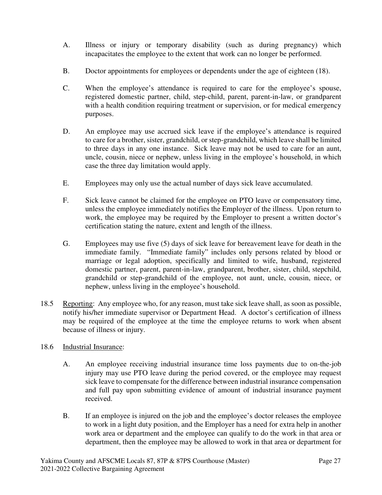- A. Illness or injury or temporary disability (such as during pregnancy) which incapacitates the employee to the extent that work can no longer be performed.
- B. Doctor appointments for employees or dependents under the age of eighteen (18).
- C. When the employee's attendance is required to care for the employee's spouse, registered domestic partner, child, step-child, parent, parent-in-law, or grandparent with a health condition requiring treatment or supervision, or for medical emergency purposes.
- D. An employee may use accrued sick leave if the employee's attendance is required to care for a brother, sister, grandchild, or step-grandchild, which leave shall be limited to three days in any one instance. Sick leave may not be used to care for an aunt, uncle, cousin, niece or nephew, unless living in the employee's household, in which case the three day limitation would apply.
- E. Employees may only use the actual number of days sick leave accumulated.
- F. Sick leave cannot be claimed for the employee on PTO leave or compensatory time, unless the employee immediately notifies the Employer of the illness. Upon return to work, the employee may be required by the Employer to present a written doctor's certification stating the nature, extent and length of the illness.
- G. Employees may use five (5) days of sick leave for bereavement leave for death in the immediate family. "Immediate family" includes only persons related by blood or marriage or legal adoption, specifically and limited to wife, husband, registered domestic partner, parent, parent-in-law, grandparent, brother, sister, child, stepchild, grandchild or step-grandchild of the employee, not aunt, uncle, cousin, niece, or nephew, unless living in the employee's household.
- 18.5 Reporting:Any employee who, for any reason, must take sick leave shall, as soon as possible, notify his/her immediate supervisor or Department Head. A doctor's certification of illness may be required of the employee at the time the employee returns to work when absent because of illness or injury.

## 18.6 Industrial Insurance:

- A. An employee receiving industrial insurance time loss payments due to on-the-job injury may use PTO leave during the period covered, or the employee may request sick leave to compensate for the difference between industrial insurance compensation and full pay upon submitting evidence of amount of industrial insurance payment received.
- B. If an employee is injured on the job and the employee's doctor releases the employee to work in a light duty position, and the Employer has a need for extra help in another work area or department and the employee can qualify to do the work in that area or department, then the employee may be allowed to work in that area or department for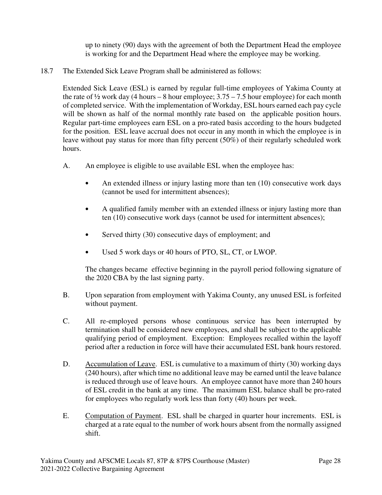up to ninety (90) days with the agreement of both the Department Head the employee is working for and the Department Head where the employee may be working.

18.7 The Extended Sick Leave Program shall be administered as follows:

Extended Sick Leave (ESL) is earned by regular full-time employees of Yakima County at the rate of  $\frac{1}{2}$  work day (4 hours – 8 hour employee; 3.75 – 7.5 hour employee) for each month of completed service. With the implementation of Workday, ESL hours earned each pay cycle will be shown as half of the normal monthly rate based on the applicable position hours. Regular part-time employees earn ESL on a pro-rated basis according to the hours budgeted for the position. ESL leave accrual does not occur in any month in which the employee is in leave without pay status for more than fifty percent (50%) of their regularly scheduled work hours.

- A. An employee is eligible to use available ESL when the employee has:
	- An extended illness or injury lasting more than ten (10) consecutive work days (cannot be used for intermittent absences);
	- A qualified family member with an extended illness or injury lasting more than ten (10) consecutive work days (cannot be used for intermittent absences);
	- Served thirty (30) consecutive days of employment; and
	- Used 5 work days or 40 hours of PTO, SL, CT, or LWOP.

The changes became effective beginning in the payroll period following signature of the 2020 CBA by the last signing party.

- B. Upon separation from employment with Yakima County, any unused ESL is forfeited without payment.
- C. All re-employed persons whose continuous service has been interrupted by termination shall be considered new employees, and shall be subject to the applicable qualifying period of employment. Exception: Employees recalled within the layoff period after a reduction in force will have their accumulated ESL bank hours restored.
- D. Accumulation of Leave. ESL is cumulative to a maximum of thirty (30) working days (240 hours), after which time no additional leave may be earned until the leave balance is reduced through use of leave hours. An employee cannot have more than 240 hours of ESL credit in the bank at any time. The maximum ESL balance shall be pro-rated for employees who regularly work less than forty (40) hours per week.
- E. Computation of Payment. ESL shall be charged in quarter hour increments. ESL is charged at a rate equal to the number of work hours absent from the normally assigned shift.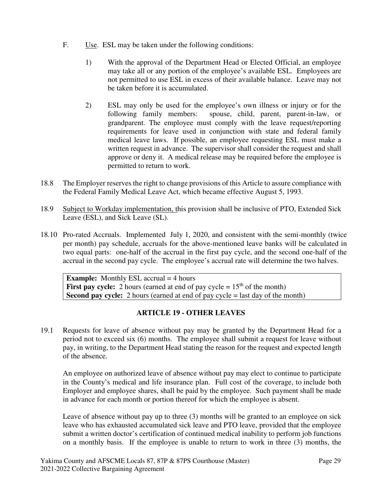- F. Use. ESL may be taken under the following conditions:
	- 1) With the approval of the Department Head or Elected Official, an employee may take all or any portion of the employee's available ESL. Employees are not permitted to use ESL in excess of their available balance. Leave may not be taken before it is accumulated.
	- 2) ESL may only be used for the employee's own illness or injury or for the following family members: spouse, child, parent, parent-in-law, or grandparent. The employee must comply with the leave request/reporting requirements for leave used in conjunction with state and federal family medical leave laws. If possible, an employee requesting ESL must make a written request in advance. The supervisor shall consider the request and shall approve or deny it. A medical release may be required before the employee is permitted to return to work.
- 18.8 The Employer reserves the right to change provisions of this Article to assure compliance with the Federal Family Medical Leave Act, which became effective August 5, 1993.
- 18.9 Subject to Workday implementation, this provision shall be inclusive of PTO, Extended Sick Leave (ESL), and Sick Leave (SL).
- 18.10 Pro-rated Accruals. Implemented July 1, 2020, and consistent with the semi-monthly (twice per month) pay schedule, accruals for the above-mentioned leave banks will be calculated in two equal parts: one-half of the accrual in the first pay cycle, and the second one-half of the accrual in the second pay cycle. The employee's accrual rate will determine the two halves.

**Example:** Monthly ESL accrual = 4 hours **First pay cycle:** 2 hours (earned at end of pay cycle  $= 15<sup>th</sup>$  of the month) **Second pay cycle:** 2 hours (earned at end of pay cycle = last day of the month)

## **ARTICLE 19 - OTHER LEAVES**

19.1 Requests for leave of absence without pay may be granted by the Department Head for a period not to exceed six (6) months. The employee shall submit a request for leave without pay, in writing, to the Department Head stating the reason for the request and expected length of the absence.

An employee on authorized leave of absence without pay may elect to continue to participate in the County's medical and life insurance plan. Full cost of the coverage, to include both Employer and employee shares, shall be paid by the employee. Such payment shall be made in advance for each month or portion thereof for which the employee is absent.

Leave of absence without pay up to three (3) months will be granted to an employee on sick leave who has exhausted accumulated sick leave and PTO leave, provided that the employee submit a written doctor's certification of continued medical inability to perform job functions on a monthly basis. If the employee is unable to return to work in three (3) months, the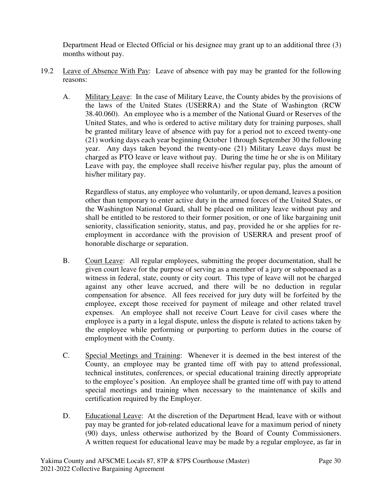Department Head or Elected Official or his designee may grant up to an additional three (3) months without pay.

- 19.2 Leave of Absence With Pay:Leave of absence with pay may be granted for the following reasons:
	- A. Military Leave: In the case of Military Leave, the County abides by the provisions of the laws of the United States (USERRA) and the State of Washington (RCW 38.40.060). An employee who is a member of the National Guard or Reserves of the United States, and who is ordered to active military duty for training purposes, shall be granted military leave of absence with pay for a period not to exceed twenty-one (21) working days each year beginning October 1 through September 30 the following year. Any days taken beyond the twenty-one (21) Military Leave days must be charged as PTO leave or leave without pay. During the time he or she is on Military Leave with pay, the employee shall receive his/her regular pay, plus the amount of his/her military pay.

Regardless of status, any employee who voluntarily, or upon demand, leaves a position other than temporary to enter active duty in the armed forces of the United States, or the Washington National Guard, shall be placed on military leave without pay and shall be entitled to be restored to their former position, or one of like bargaining unit seniority, classification seniority, status, and pay, provided he or she applies for reemployment in accordance with the provision of USERRA and present proof of honorable discharge or separation.

- B. Court Leave: All regular employees, submitting the proper documentation, shall be given court leave for the purpose of serving as a member of a jury or subpoenaed as a witness in federal, state, county or city court. This type of leave will not be charged against any other leave accrued, and there will be no deduction in regular compensation for absence. All fees received for jury duty will be forfeited by the employee, except those received for payment of mileage and other related travel expenses. An employee shall not receive Court Leave for civil cases where the employee is a party in a legal dispute, unless the dispute is related to actions taken by the employee while performing or purporting to perform duties in the course of employment with the County.
- C. Special Meetings and Training:Whenever it is deemed in the best interest of the County, an employee may be granted time off with pay to attend professional, technical institutes, conferences, or special educational training directly appropriate to the employee's position. An employee shall be granted time off with pay to attend special meetings and training when necessary to the maintenance of skills and certification required by the Employer.
- D. Educational Leave:At the discretion of the Department Head, leave with or without pay may be granted for job-related educational leave for a maximum period of ninety (90) days, unless otherwise authorized by the Board of County Commissioners. A written request for educational leave may be made by a regular employee, as far in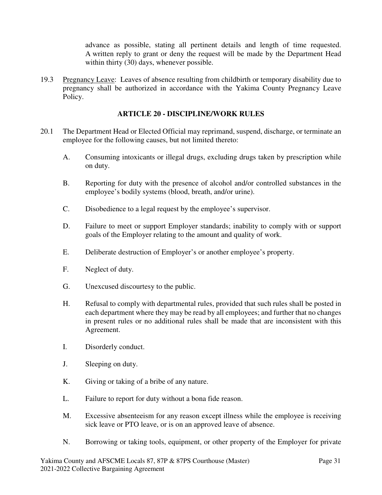advance as possible, stating all pertinent details and length of time requested. A written reply to grant or deny the request will be made by the Department Head within thirty (30) days, whenever possible.

19.3 Pregnancy Leave:Leaves of absence resulting from childbirth or temporary disability due to pregnancy shall be authorized in accordance with the Yakima County Pregnancy Leave Policy.

## **ARTICLE 20 - DISCIPLINE/WORK RULES**

- 20.1 The Department Head or Elected Official may reprimand, suspend, discharge, or terminate an employee for the following causes, but not limited thereto:
	- A. Consuming intoxicants or illegal drugs, excluding drugs taken by prescription while on duty.
	- B. Reporting for duty with the presence of alcohol and/or controlled substances in the employee's bodily systems (blood, breath, and/or urine).
	- C. Disobedience to a legal request by the employee's supervisor.
	- D. Failure to meet or support Employer standards; inability to comply with or support goals of the Employer relating to the amount and quality of work.
	- E. Deliberate destruction of Employer's or another employee's property.
	- F. Neglect of duty.
	- G. Unexcused discourtesy to the public.
	- H. Refusal to comply with departmental rules, provided that such rules shall be posted in each department where they may be read by all employees; and further that no changes in present rules or no additional rules shall be made that are inconsistent with this Agreement.
	- I. Disorderly conduct.
	- J. Sleeping on duty.
	- K. Giving or taking of a bribe of any nature.
	- L. Failure to report for duty without a bona fide reason.
	- M. Excessive absenteeism for any reason except illness while the employee is receiving sick leave or PTO leave, or is on an approved leave of absence.
	- N. Borrowing or taking tools, equipment, or other property of the Employer for private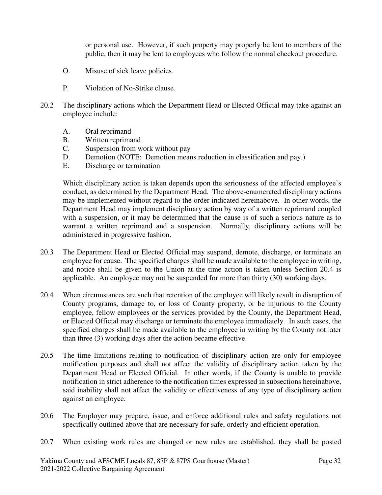or personal use. However, if such property may properly be lent to members of the public, then it may be lent to employees who follow the normal checkout procedure.

- O. Misuse of sick leave policies.
- P. Violation of No-Strike clause.
- 20.2 The disciplinary actions which the Department Head or Elected Official may take against an employee include:
	- A. Oral reprimand
	- B. Written reprimand
	- C. Suspension from work without pay
	- D. Demotion (NOTE: Demotion means reduction in classification and pay.)
	- E. Discharge or termination

Which disciplinary action is taken depends upon the seriousness of the affected employee's conduct, as determined by the Department Head. The above-enumerated disciplinary actions may be implemented without regard to the order indicated hereinabove. In other words, the Department Head may implement disciplinary action by way of a written reprimand coupled with a suspension, or it may be determined that the cause is of such a serious nature as to warrant a written reprimand and a suspension. Normally, disciplinary actions will be administered in progressive fashion.

- 20.3 The Department Head or Elected Official may suspend, demote, discharge, or terminate an employee for cause. The specified charges shall be made available to the employee in writing, and notice shall be given to the Union at the time action is taken unless Section 20.4 is applicable. An employee may not be suspended for more than thirty (30) working days.
- 20.4 When circumstances are such that retention of the employee will likely result in disruption of County programs, damage to, or loss of County property, or be injurious to the County employee, fellow employees or the services provided by the County, the Department Head, or Elected Official may discharge or terminate the employee immediately. In such cases, the specified charges shall be made available to the employee in writing by the County not later than three (3) working days after the action became effective.
- 20.5 The time limitations relating to notification of disciplinary action are only for employee notification purposes and shall not affect the validity of disciplinary action taken by the Department Head or Elected Official. In other words, if the County is unable to provide notification in strict adherence to the notification times expressed in subsections hereinabove, said inability shall not affect the validity or effectiveness of any type of disciplinary action against an employee.
- 20.6 The Employer may prepare, issue, and enforce additional rules and safety regulations not specifically outlined above that are necessary for safe, orderly and efficient operation.
- 20.7 When existing work rules are changed or new rules are established, they shall be posted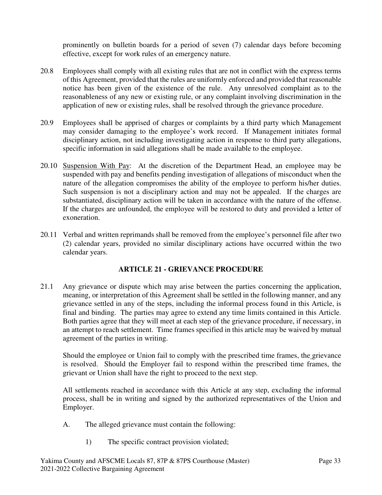prominently on bulletin boards for a period of seven (7) calendar days before becoming effective, except for work rules of an emergency nature.

- 20.8 Employees shall comply with all existing rules that are not in conflict with the express terms of this Agreement, provided that the rules are uniformly enforced and provided that reasonable notice has been given of the existence of the rule. Any unresolved complaint as to the reasonableness of any new or existing rule, or any complaint involving discrimination in the application of new or existing rules, shall be resolved through the grievance procedure.
- 20.9 Employees shall be apprised of charges or complaints by a third party which Management may consider damaging to the employee's work record. If Management initiates formal disciplinary action, not including investigating action in response to third party allegations, specific information in said allegations shall be made available to the employee.
- 20.10 Suspension With Pay: At the discretion of the Department Head, an employee may be suspended with pay and benefits pending investigation of allegations of misconduct when the nature of the allegation compromises the ability of the employee to perform his/her duties. Such suspension is not a disciplinary action and may not be appealed. If the charges are substantiated, disciplinary action will be taken in accordance with the nature of the offense. If the charges are unfounded, the employee will be restored to duty and provided a letter of exoneration.
- 20.11 Verbal and written reprimands shall be removed from the employee's personnel file after two (2) calendar years, provided no similar disciplinary actions have occurred within the two calendar years.

## **ARTICLE 21 - GRIEVANCE PROCEDURE**

21.1 Any grievance or dispute which may arise between the parties concerning the application, meaning, or interpretation of this Agreement shall be settled in the following manner, and any grievance settled in any of the steps, including the informal process found in this Article, is final and binding. The parties may agree to extend any time limits contained in this Article. Both parties agree that they will meet at each step of the grievance procedure, if necessary, in an attempt to reach settlement. Time frames specified in this article may be waived by mutual agreement of the parties in writing.

Should the employee or Union fail to comply with the prescribed time frames, the grievance is resolved. Should the Employer fail to respond within the prescribed time frames, the grievant or Union shall have the right to proceed to the next step.

All settlements reached in accordance with this Article at any step, excluding the informal process, shall be in writing and signed by the authorized representatives of the Union and Employer.

- A. The alleged grievance must contain the following:
	- 1) The specific contract provision violated;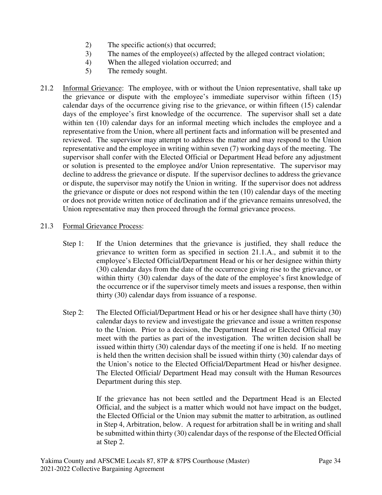- 2) The specific action(s) that occurred;
- 3) The names of the employee(s) affected by the alleged contract violation;
- 4) When the alleged violation occurred; and
- 5) The remedy sought.
- 21.2 Informal Grievance:The employee, with or without the Union representative, shall take up the grievance or dispute with the employee's immediate supervisor within fifteen (15) calendar days of the occurrence giving rise to the grievance, or within fifteen (15) calendar days of the employee's first knowledge of the occurrence. The supervisor shall set a date within ten (10) calendar days for an informal meeting which includes the employee and a representative from the Union, where all pertinent facts and information will be presented and reviewed. The supervisor may attempt to address the matter and may respond to the Union representative and the employee in writing within seven (7) working days of the meeting. The supervisor shall confer with the Elected Official or Department Head before any adjustment or solution is presented to the employee and/or Union representative. The supervisor may decline to address the grievance or dispute. If the supervisor declines to address the grievance or dispute, the supervisor may notify the Union in writing. If the supervisor does not address the grievance or dispute or does not respond within the ten (10) calendar days of the meeting or does not provide written notice of declination and if the grievance remains unresolved, the Union representative may then proceed through the formal grievance process.

## 21.3 Formal Grievance Process:

- Step 1:If the Union determines that the grievance is justified, they shall reduce the grievance to written form as specified in section 21.1.A., and submit it to the employee's Elected Official/Department Head or his or her designee within thirty (30) calendar days from the date of the occurrence giving rise to the grievance, or within thirty (30) calendar days of the date of the employee's first knowledge of the occurrence or if the supervisor timely meets and issues a response, then within thirty (30) calendar days from issuance of a response.
- Step 2:The Elected Official/Department Head or his or her designee shall have thirty (30) calendar days to review and investigate the grievance and issue a written response to the Union. Prior to a decision, the Department Head or Elected Official may meet with the parties as part of the investigation. The written decision shall be issued within thirty (30) calendar days of the meeting if one is held. If no meeting is held then the written decision shall be issued within thirty (30) calendar days of the Union's notice to the Elected Official/Department Head or his/her designee. The Elected Official/ Department Head may consult with the Human Resources Department during this step.

If the grievance has not been settled and the Department Head is an Elected Official, and the subject is a matter which would not have impact on the budget, the Elected Official or the Union may submit the matter to arbitration, as outlined in Step 4, Arbitration, below. A request for arbitration shall be in writing and shall be submitted within thirty (30) calendar days of the response of the Elected Official at Step 2.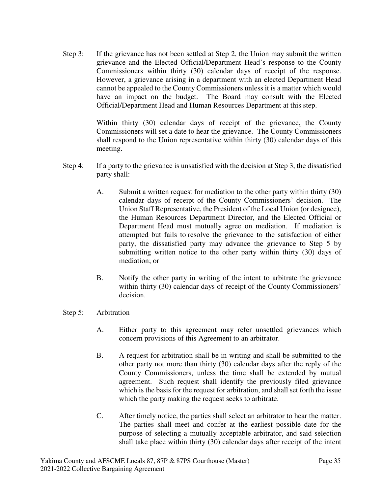Step 3: If the grievance has not been settled at Step 2, the Union may submit the written grievance and the Elected Official/Department Head's response to the County Commissioners within thirty (30) calendar days of receipt of the response. However, a grievance arising in a department with an elected Department Head cannot be appealed to the County Commissioners unless it is a matter which would have an impact on the budget. The Board may consult with the Elected Official/Department Head and Human Resources Department at this step.

> Within thirty (30) calendar days of receipt of the grievance, the County Commissioners will set a date to hear the grievance. The County Commissioners shall respond to the Union representative within thirty (30) calendar days of this meeting.

- Step 4: If a party to the grievance is unsatisfied with the decision at Step 3, the dissatisfied party shall:
	- A. Submit a written request for mediation to the other party within thirty (30) calendar days of receipt of the County Commissioners' decision. The Union Staff Representative, the President of the Local Union (or designee), the Human Resources Department Director, and the Elected Official or Department Head must mutually agree on mediation. If mediation is attempted but fails to resolve the grievance to the satisfaction of either party, the dissatisfied party may advance the grievance to Step 5 by submitting written notice to the other party within thirty (30) days of mediation; or
	- B. Notify the other party in writing of the intent to arbitrate the grievance within thirty (30) calendar days of receipt of the County Commissioners' decision.

#### Step 5: Arbitration

- A. Either party to this agreement may refer unsettled grievances which concern provisions of this Agreement to an arbitrator.
- B. A request for arbitration shall be in writing and shall be submitted to the other party not more than thirty (30) calendar days after the reply of the County Commissioners, unless the time shall be extended by mutual agreement. Such request shall identify the previously filed grievance which is the basis for the request for arbitration, and shall set forth the issue which the party making the request seeks to arbitrate.
- C. After timely notice, the parties shall select an arbitrator to hear the matter. The parties shall meet and confer at the earliest possible date for the purpose of selecting a mutually acceptable arbitrator, and said selection shall take place within thirty (30) calendar days after receipt of the intent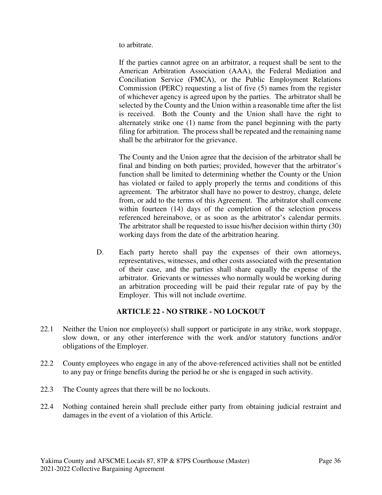to arbitrate.

If the parties cannot agree on an arbitrator, a request shall be sent to the American Arbitration Association (AAA), the Federal Mediation and Conciliation Service (FMCA), or the Public Employment Relations Commission (PERC) requesting a list of five (5) names from the register of whichever agency is agreed upon by the parties. The arbitrator shall be selected by the County and the Union within a reasonable time after the list is received. Both the County and the Union shall have the right to alternately strike one (1) name from the panel beginning with the party filing for arbitration. The process shall be repeated and the remaining name shall be the arbitrator for the grievance.

The County and the Union agree that the decision of the arbitrator shall be final and binding on both parties; provided, however that the arbitrator's function shall be limited to determining whether the County or the Union has violated or failed to apply properly the terms and conditions of this agreement. The arbitrator shall have no power to destroy, change, delete from, or add to the terms of this Agreement. The arbitrator shall convene within fourteen (14) days of the completion of the selection process referenced hereinabove, or as soon as the arbitrator's calendar permits. The arbitrator shall be requested to issue his/her decision within thirty (30) working days from the date of the arbitration hearing.

D. Each party hereto shall pay the expenses of their own attorneys, representatives, witnesses, and other costs associated with the presentation of their case, and the parties shall share equally the expense of the arbitrator. Grievants or witnesses who normally would be working during an arbitration proceeding will be paid their regular rate of pay by the Employer. This will not include overtime.

## **ARTICLE 22 - NO STRIKE - NO LOCKOUT**

- 22.1 Neither the Union nor employee(s) shall support or participate in any strike, work stoppage, slow down, or any other interference with the work and/or statutory functions and/or obligations of the Employer.
- 22.2 County employees who engage in any of the above-referenced activities shall not be entitled to any pay or fringe benefits during the period he or she is engaged in such activity.
- 22.3 The County agrees that there will be no lockouts.
- 22.4 Nothing contained herein shall preclude either party from obtaining judicial restraint and damages in the event of a violation of this Article.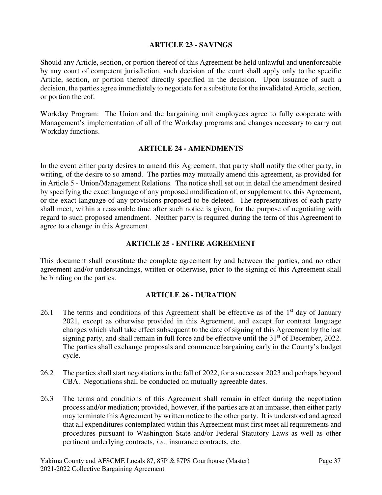### **ARTICLE 23 - SAVINGS**

Should any Article, section, or portion thereof of this Agreement be held unlawful and unenforceable by any court of competent jurisdiction, such decision of the court shall apply only to the specific Article, section, or portion thereof directly specified in the decision. Upon issuance of such a decision, the parties agree immediately to negotiate for a substitute for the invalidated Article, section, or portion thereof.

Workday Program: The Union and the bargaining unit employees agree to fully cooperate with Management's implementation of all of the Workday programs and changes necessary to carry out Workday functions.

#### **ARTICLE 24 - AMENDMENTS**

In the event either party desires to amend this Agreement, that party shall notify the other party, in writing, of the desire to so amend. The parties may mutually amend this agreement, as provided for in Article 5 - Union/Management Relations. The notice shall set out in detail the amendment desired by specifying the exact language of any proposed modification of, or supplement to, this Agreement, or the exact language of any provisions proposed to be deleted. The representatives of each party shall meet, within a reasonable time after such notice is given, for the purpose of negotiating with regard to such proposed amendment. Neither party is required during the term of this Agreement to agree to a change in this Agreement.

#### **ARTICLE 25 - ENTIRE AGREEMENT**

This document shall constitute the complete agreement by and between the parties, and no other agreement and/or understandings, written or otherwise, prior to the signing of this Agreement shall be binding on the parties.

#### **ARTICLE 26 - DURATION**

- 26.1 The terms and conditions of this Agreement shall be effective as of the  $1<sup>st</sup>$  day of January 2021, except as otherwise provided in this Agreement, and except for contract language changes which shall take effect subsequent to the date of signing of this Agreement by the last signing party, and shall remain in full force and be effective until the  $31<sup>st</sup>$  of December, 2022. The parties shall exchange proposals and commence bargaining early in the County's budget cycle.
- 26.2 The parties shall start negotiations in the fall of 2022, for a successor 2023 and perhaps beyond CBA. Negotiations shall be conducted on mutually agreeable dates.
- 26.3 The terms and conditions of this Agreement shall remain in effect during the negotiation process and/or mediation; provided, however, if the parties are at an impasse, then either party may terminate this Agreement by written notice to the other party. It is understood and agreed that all expenditures contemplated within this Agreement must first meet all requirements and procedures pursuant to Washington State and/or Federal Statutory Laws as well as other pertinent underlying contracts, *i.e.,* insurance contracts, etc.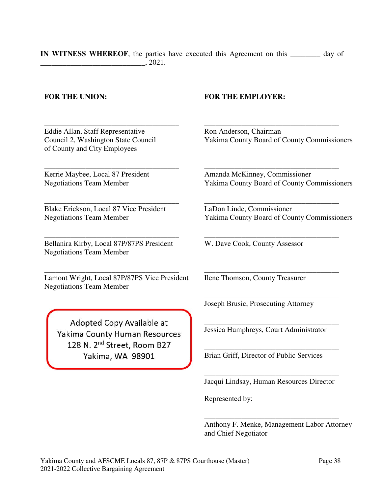**IN WITNESS WHEREOF**, the parties have executed this Agreement on this **\_\_\_\_\_\_\_\_** day of  $, 2021.$ 

Eddie Allan, Staff Representative Council 2, Washington State Council of County and City Employees

\_\_\_\_\_\_\_\_\_\_\_\_\_\_\_\_\_\_\_\_\_\_\_\_\_\_\_\_\_\_\_\_\_\_\_\_

\_\_\_\_\_\_\_\_\_\_\_\_\_\_\_\_\_\_\_\_\_\_\_\_\_\_\_\_\_\_\_\_\_\_\_\_ Kerrie Maybee, Local 87 President Negotiations Team Member

Blake Erickson, Local 87 Vice President Negotiations Team Member

\_\_\_\_\_\_\_\_\_\_\_\_\_\_\_\_\_\_\_\_\_\_\_\_\_\_\_\_\_\_\_\_\_\_\_\_

\_\_\_\_\_\_\_\_\_\_\_\_\_\_\_\_\_\_\_\_\_\_\_\_\_\_\_\_\_\_\_\_\_\_\_\_ Bellanira Kirby, Local 87P/87PS President Negotiations Team Member

\_\_\_\_\_\_\_\_\_\_\_\_\_\_\_\_\_\_\_\_\_\_\_\_\_\_\_\_\_\_\_\_\_\_\_\_

Lamont Wright, Local 87P/87PS Vice President Negotiations Team Member

Adopted Copy Available at Yakima County Human Resources 128 N. 2<sup>nd</sup> Street, Room B27 Yakima, WA 98901

## **FOR THE UNION: FOR THE EMPLOYER:**

Ron Anderson, Chairman Yakima County Board of County Commissioners

\_\_\_\_\_\_\_\_\_\_\_\_\_\_\_\_\_\_\_\_\_\_\_\_\_\_\_\_\_\_\_\_\_\_\_\_

Amanda McKinney, Commissioner Yakima County Board of County Commissioners

\_\_\_\_\_\_\_\_\_\_\_\_\_\_\_\_\_\_\_\_\_\_\_\_\_\_\_\_\_\_\_\_\_\_\_\_

\_\_\_\_\_\_\_\_\_\_\_\_\_\_\_\_\_\_\_\_\_\_\_\_\_\_\_\_\_\_\_\_\_\_\_\_

\_\_\_\_\_\_\_\_\_\_\_\_\_\_\_\_\_\_\_\_\_\_\_\_\_\_\_\_\_\_\_\_\_\_\_\_

\_\_\_\_\_\_\_\_\_\_\_\_\_\_\_\_\_\_\_\_\_\_\_\_\_\_\_\_\_\_\_\_\_\_\_\_

\_\_\_\_\_\_\_\_\_\_\_\_\_\_\_\_\_\_\_\_\_\_\_\_\_\_\_\_\_\_\_\_\_\_\_\_

LaDon Linde, Commissioner Yakima County Board of County Commissioners

W. Dave Cook, County Assessor

Ilene Thomson, County Treasurer

Joseph Brusic, Prosecuting Attorney

\_\_\_\_\_\_\_\_\_\_\_\_\_\_\_\_\_\_\_\_\_\_\_\_\_\_\_\_\_\_\_\_\_\_\_\_ Jessica Humphreys, Court Administrator

Brian Griff, Director of Public Services

\_\_\_\_\_\_\_\_\_\_\_\_\_\_\_\_\_\_\_\_\_\_\_\_\_\_\_\_\_\_\_\_\_\_\_\_ Jacqui Lindsay, Human Resources Director

\_\_\_\_\_\_\_\_\_\_\_\_\_\_\_\_\_\_\_\_\_\_\_\_\_\_\_\_\_\_\_\_\_\_\_\_

Represented by:

Anthony F. Menke, Management Labor Attorney and Chief Negotiator

\_\_\_\_\_\_\_\_\_\_\_\_\_\_\_\_\_\_\_\_\_\_\_\_\_\_\_\_\_\_\_\_\_\_\_\_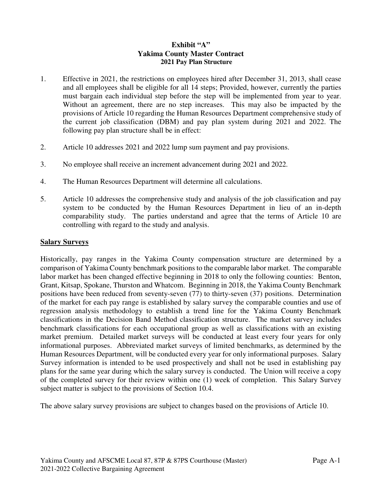## **Exhibit "A" Yakima County Master Contract 2021 Pay Plan Structure**

- 1. Effective in 2021, the restrictions on employees hired after December 31, 2013, shall cease and all employees shall be eligible for all 14 steps; Provided, however, currently the parties must bargain each individual step before the step will be implemented from year to year. Without an agreement, there are no step increases. This may also be impacted by the provisions of Article 10 regarding the Human Resources Department comprehensive study of the current job classification (DBM) and pay plan system during 2021 and 2022. The following pay plan structure shall be in effect:
- 2. Article 10 addresses 2021 and 2022 lump sum payment and pay provisions.
- 3. No employee shall receive an increment advancement during 2021 and 2022.
- 4. The Human Resources Department will determine all calculations.
- 5. Article 10 addresses the comprehensive study and analysis of the job classification and pay system to be conducted by the Human Resources Department in lieu of an in-depth comparability study. The parties understand and agree that the terms of Article 10 are controlling with regard to the study and analysis.

#### **Salary Surveys**

Historically, pay ranges in the Yakima County compensation structure are determined by a comparison of Yakima County benchmark positions to the comparable labor market. The comparable labor market has been changed effective beginning in 2018 to only the following counties: Benton, Grant, Kitsap, Spokane, Thurston and Whatcom. Beginning in 2018, the Yakima County Benchmark positions have been reduced from seventy-seven (77) to thirty-seven (37) positions. Determination of the market for each pay range is established by salary survey the comparable counties and use of regression analysis methodology to establish a trend line for the Yakima County Benchmark classifications in the Decision Band Method classification structure. The market survey includes benchmark classifications for each occupational group as well as classifications with an existing market premium. Detailed market surveys will be conducted at least every four years for only informational purposes. Abbreviated market surveys of limited benchmarks, as determined by the Human Resources Department, will be conducted every year for only informational purposes. Salary Survey information is intended to be used prospectively and shall not be used in establishing pay plans for the same year during which the salary survey is conducted. The Union will receive a copy of the completed survey for their review within one (1) week of completion. This Salary Survey subject matter is subject to the provisions of Section 10.4.

The above salary survey provisions are subject to changes based on the provisions of Article 10.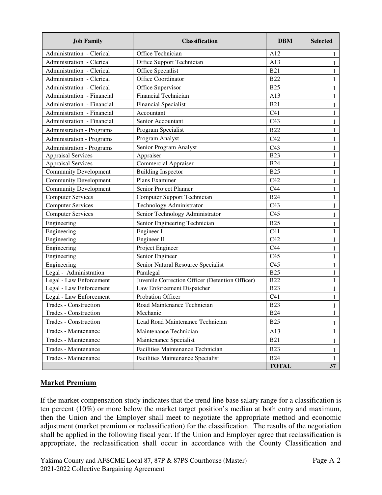| <b>Job Family</b>                | <b>Classification</b>                           | <b>DBM</b>      | <b>Selected</b> |  |  |  |
|----------------------------------|-------------------------------------------------|-----------------|-----------------|--|--|--|
| Administration - Clerical        | Office Technician                               | A12             | 1               |  |  |  |
| Administration - Clerical        | Office Support Technician                       | A13             | 1               |  |  |  |
| Administration - Clerical        | Office Specialist                               | <b>B21</b>      | 1               |  |  |  |
| Administration - Clerical        | Office Coordinator                              | <b>B22</b>      | 1               |  |  |  |
| Administration - Clerical        | Office Supervisor                               | <b>B25</b>      | 1               |  |  |  |
| Administration - Financial       | <b>Financial Technician</b>                     | A13             | 1               |  |  |  |
| Administration - Financial       | <b>Financial Specialist</b>                     | <b>B21</b>      | 1               |  |  |  |
| Administration - Financial       | Accountant                                      | C <sub>41</sub> | 1               |  |  |  |
| Administration - Financial       | Senior Accountant                               | C <sub>43</sub> | 1               |  |  |  |
| <b>Administration - Programs</b> | Program Specialist                              | <b>B22</b>      | 1               |  |  |  |
| <b>Administration - Programs</b> | Program Analyst                                 | C42             | 1               |  |  |  |
| <b>Administration - Programs</b> | Senior Program Analyst                          | C43             | 1               |  |  |  |
| <b>Appraisal Services</b>        | Appraiser                                       | <b>B23</b>      | 1               |  |  |  |
| <b>Appraisal Services</b>        | <b>Commercial Appraiser</b>                     | <b>B24</b>      | 1               |  |  |  |
| <b>Community Development</b>     | <b>Building Inspector</b>                       | <b>B25</b>      | 1               |  |  |  |
| <b>Community Development</b>     | Plans Examiner                                  | C42             | 1               |  |  |  |
| <b>Community Development</b>     | Senior Project Planner                          | C <sub>44</sub> | 1               |  |  |  |
| <b>Computer Services</b>         | <b>Computer Support Technician</b>              | <b>B24</b>      | 1               |  |  |  |
| <b>Computer Services</b>         | Technology Administrator                        | C43             | 1               |  |  |  |
| <b>Computer Services</b>         | Senior Technology Administrator                 | C <sub>45</sub> | 1               |  |  |  |
| Engineering                      | Senior Engineering Technician                   | <b>B25</b>      | 1               |  |  |  |
| Engineering                      | Engineer I                                      | C <sub>41</sub> | 1               |  |  |  |
| Engineering                      | Engineer II                                     | C42             | 1               |  |  |  |
| Engineering                      | Project Engineer                                | C44             | 1               |  |  |  |
| Engineering                      | Senior Engineer                                 | C <sub>45</sub> | 1               |  |  |  |
| Engineering                      | Senior Natural Resource Specialist              | C <sub>45</sub> | 1               |  |  |  |
| Legal - Administration           | Paralegal                                       | <b>B25</b>      | 1               |  |  |  |
| Legal - Law Enforcement          | Juvenile Correction Officer (Detention Officer) | <b>B22</b>      | 1               |  |  |  |
| Legal - Law Enforcement          | Law Enforcement Dispatcher                      | <b>B23</b>      | 1               |  |  |  |
| Legal - Law Enforcement          | Probation Officer                               | C <sub>41</sub> | 1               |  |  |  |
| Trades - Construction            | Road Maintenance Technician                     | <b>B23</b>      | 1               |  |  |  |
| Trades - Construction            | Mechanic                                        | <b>B24</b>      | $\,1$           |  |  |  |
| Trades - Construction            | Lead Road Maintenance Technician                | <b>B25</b>      | 1               |  |  |  |
| Trades - Maintenance             | Maintenance Technician                          | A13             | 1               |  |  |  |
| Trades - Maintenance             | Maintenance Specialist                          | <b>B21</b>      | 1               |  |  |  |
| Trades - Maintenance             | Facilities Maintenance Technician               | <b>B23</b><br>1 |                 |  |  |  |
| Trades - Maintenance             | <b>Facilities Maintenance Specialist</b>        | <b>B24</b>      | 1               |  |  |  |
|                                  |                                                 | <b>TOTAL</b>    | 37              |  |  |  |

## **Market Premium**

If the market compensation study indicates that the trend line base salary range for a classification is ten percent (10%) or more below the market target position's median at both entry and maximum, then the Union and the Employer shall meet to negotiate the appropriate method and economic adjustment (market premium or reclassification) for the classification. The results of the negotiation shall be applied in the following fiscal year. If the Union and Employer agree that reclassification is appropriate, the reclassification shall occur in accordance with the County Classification and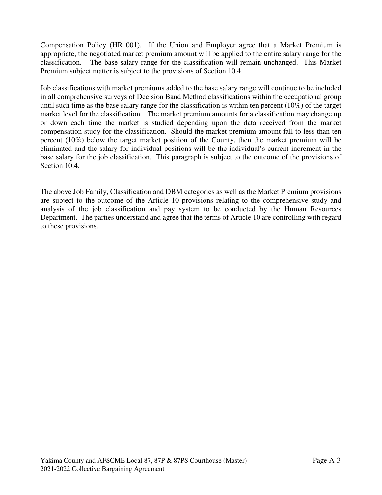Compensation Policy (HR 001). If the Union and Employer agree that a Market Premium is appropriate, the negotiated market premium amount will be applied to the entire salary range for the classification. The base salary range for the classification will remain unchanged. This Market Premium subject matter is subject to the provisions of Section 10.4.

Job classifications with market premiums added to the base salary range will continue to be included in all comprehensive surveys of Decision Band Method classifications within the occupational group until such time as the base salary range for the classification is within ten percent (10%) of the target market level for the classification. The market premium amounts for a classification may change up or down each time the market is studied depending upon the data received from the market compensation study for the classification. Should the market premium amount fall to less than ten percent (10%) below the target market position of the County, then the market premium will be eliminated and the salary for individual positions will be the individual's current increment in the base salary for the job classification. This paragraph is subject to the outcome of the provisions of Section 10.4.

The above Job Family, Classification and DBM categories as well as the Market Premium provisions are subject to the outcome of the Article 10 provisions relating to the comprehensive study and analysis of the job classification and pay system to be conducted by the Human Resources Department. The parties understand and agree that the terms of Article 10 are controlling with regard to these provisions.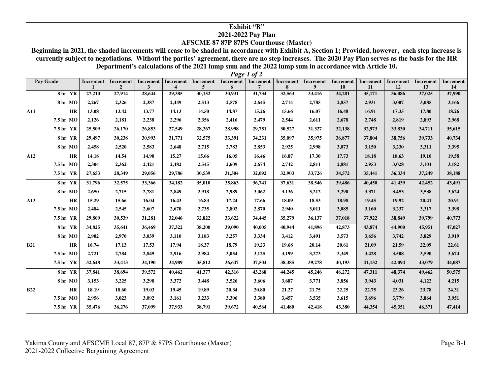#### **Exhibit "B" 2021-2022 Pay Plan**

### **AFSCME 87 87P 87PS Courthouse (Master)**

 **Beginning in 2021, the shaded increments will cease to be shaded in accordance with Exhibit A, Section 1; Provided, however, each step increase is currently subject to negotiations. Without the parties' agreement, there are no step increases. The 2020 Pay Plan serves as the basis for the HR Department's calculations of the 2021 lump sum and the 2022 lump sum in accordance with Article 10.** *Page 1 of 2*

| Pay Grade  |         |           | <b>Increment</b> | <b>Increment</b> | Increment | <b>Increment</b>        | Increment | Increment | <b>Increment</b> | Increment | <b>Increment</b> | <b>Increment</b> | Increment | <b>Increment</b> | <b>Increment</b> | <b>Increment</b> |
|------------|---------|-----------|------------------|------------------|-----------|-------------------------|-----------|-----------|------------------|-----------|------------------|------------------|-----------|------------------|------------------|------------------|
|            |         |           |                  | $\overline{2}$   | 3         | $\overline{\mathbf{4}}$ | 5         | 6         | 7                | 8         | $\boldsymbol{9}$ | 10               | 11        | 12               | 13               | 14               |
| 8 hr       |         | YR        | 27,210           | 27,914           | 28,644    | 29,385                  | 30,152    | 30,931    | 31,734           | 32,563    | 33,416           | 34,281           | 35,171    | 36,086           | 37,025           | 37,990           |
|            | 8 hr MO |           | 2,267            | 2,326            | 2,387     | 2,449                   | 2,513     | 2,578     | 2,645            | 2,714     | 2,785            | 2,857            | 2,931     | 3,007            | 3,085            | 3,166            |
| <b>A11</b> |         | HR        | 13.08            | 13.42            | 13.77     | 14.13                   | 14.50     | 14.87     | 15.26            | 15.66     | 16.07            | 16.48            | 16.91     | 17.35            | 17.80            | 18.26            |
| 7.5 hr MO  |         |           | 2,126            | 2,181            | 2,238     | 2,296                   | 2,356     | 2,416     | 2,479            | 2,544     | 2,611            | 2,678            | 2,748     | 2,819            | 2,893            | 2,968            |
| 7.5 hr YR  |         |           | 25,509           | 26,170           | 26,853    | 27,549                  | 28,267    | 28,998    | 29,751           | 30,527    | 31,327           | 32,138           | 32,973    | 33,830           | 34,711           | 35,615           |
| 8 hr       |         | YR        | 29,497           | 30,238           | 30,993    | 31,771                  | 32,575    | 33,391    | 34,231           | 35,097    | 35,975           | 36,877           | 37,804    | 38,756           | 39,733           | 40,734           |
|            | 8 hr MO |           | 2,458            | 2,520            | 2,583     | 2,648                   | 2,715     | 2,783     | 2,853            | 2,925     | 2,998            | 3,073            | 3,150     | 3,230            | 3,311            | 3,395            |
| A12        |         | <b>HR</b> | 14.18            | 14.54            | 14.90     | 15.27                   | 15.66     | 16.05     | 16.46            | 16.87     | 17.30            | 17.73            | 18.18     | 18.63            | 19.10            | 19.58            |
| 7.5 hr MO  |         |           | 2,304            | 2,362            | 2,421     | 2,482                   | 2,545     | 2,609     | 2,674            | 2,742     | 2,811            | 2,881            | 2,953     | 3,028            | 3,104            | 3,182            |
| 7.5 hr YR  |         |           | 27,653           | 28,349           | 29,056    | 29,786                  | 30,539    | 31,304    | 32,092           | 32,903    | 33,726           | 34,572           | 35,441    | 36,334           | 37,249           | 38,188           |
| 8 hr       |         | YR        | 31,796           | 32,575           | 33,366    | 34,182                  | 35,010    | 35,863    | 36,741           | 37,631    | 38,546           | 39,486           | 40,450    | 41,439           | 42,452           | 43,491           |
|            | 8 hr MO |           | 2,650            | 2,715            | 2,781     | 2,849                   | 2,918     | 2,989     | 3,062            | 3,136     | 3,212            | 3,290            | 3,371     | 3,453            | 3,538            | 3,624            |
| A13        |         | <b>HR</b> | 15.29            | 15.66            | 16.04     | 16.43                   | 16.83     | 17.24     | 17.66            | 18.09     | 18.53            | 18.98            | 19.45     | 19.92            | 20.41            | 20.91            |
| 7.5 hr MO  |         |           | 2,484            | 2,545            | 2,607     | 2,670                   | 2,735     | 2,802     | 2,870            | 2,940     | 3,011            | 3,085            | 3,160     | 3,237            | 3,317            | 3,398            |
| 7.5 hr YR  |         |           | 29,809           | 30,539           | 31,281    | 32,046                  | 32,822    | 33,622    | 34,445           | 35,279    | 36,137           | 37,018           | 37,922    | 38,849           | 39,799           | 40,773           |
| 8 hr       |         | YR        | 34,825           | 35,641           | 36,469    | 37,322                  | 38,200    | 39,090    | 40,005           | 40,944    | 41,896           | 42,873           | 43,874    | 44,900           | 45,951           | 47,027           |
|            | 8 hr MO |           | 2,902            | 2,970            | 3,039     | 3,110                   | 3,183     | 3,257     | 3,334            | 3,412     | 3,491            | 3,573            | 3,656     | 3,742            | 3,829            | 3,919            |
| <b>B21</b> |         | <b>HR</b> | 16.74            | 17.13            | 17.53     | 17.94                   | 18.37     | 18.79     | 19.23            | 19.68     | 20.14            | 20.61            | 21.09     | 21.59            | 22.09            | 22.61            |
| 7.5 hr MO  |         |           | 2,721            | 2,784            | 2,849     | 2,916                   | 2,984     | 3,054     | 3,125            | 3,199     | 3,273            | 3,349            | 3,428     | 3,508            | 3,590            | 3,674            |
| 7.5 hr YR  |         |           | 32,648           | 33,413           | 34,190    | 34,989                  | 35,812    | 36,647    | 37,504           | 38,385    | 39,278           | 40,193           | 41,132    | 42,094           | 43,079           | 44,087           |
| 8 hr       |         | YR        | 37,841           | 38,694           | 39,572    | 40,462                  | 41,377    | 42,316    | 43,268           | 44,245    | 45,246           | 46,272           | 47,311    | 48,374           | 49,462           | 50,575           |
|            | 8 hr MO |           | 3,153            | 3,225            | 3,298     | 3,372                   | 3,448     | 3,526     | 3,606            | 3,687     | 3,771            | 3,856            | 3,943     | 4,031            | 4,122            | 4,215            |
| <b>B22</b> |         | <b>HR</b> | 18.19            | 18.60            | 19.03     | 19.45                   | 19.89     | 20.34     | 20.80            | 21.27     | 21.75            | 22.25            | 22.75     | 23.26            | 23.78            | 24.31            |
| 7.5 hr MO  |         |           | 2,956            | 3,023            | 3,092     | 3,161                   | 3,233     | 3,306     | 3,380            | 3,457     | 3,535            | 3,615            | 3,696     | 3,779            | 3,864            | 3,951            |
| 7.5 hr YR  |         |           | 35,476           | 36,276           | 37,099    | 37,933                  | 38,791    | 39,672    | 40,564           | 41,480    | 42,418           | 43,380           | 44,354    | 45,351           | 46,371           | 47,414           |